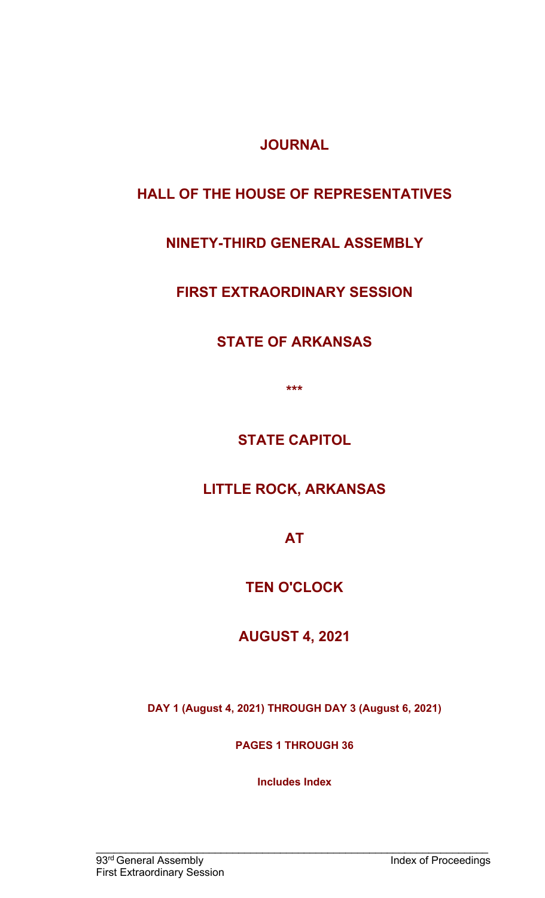**JOURNAL** 

# **HALL OF THE HOUSE OF REPRESENTATIVES**

# **NINETY-THIRD GENERAL ASSEMBLY**

# **FIRST EXTRAORDINARY SESSION**

# **STATE OF ARKANSAS**

**\*\*\***

**STATE CAPITOL**

**LITTLE ROCK, ARKANSAS** 

**AT**

**TEN O'CLOCK** 

**AUGUST 4, 2021**

**DAY 1 (August 4, 2021) THROUGH DAY 3 (August 6, 2021)**

**PAGES 1 THROUGH 36**

**Includes Index**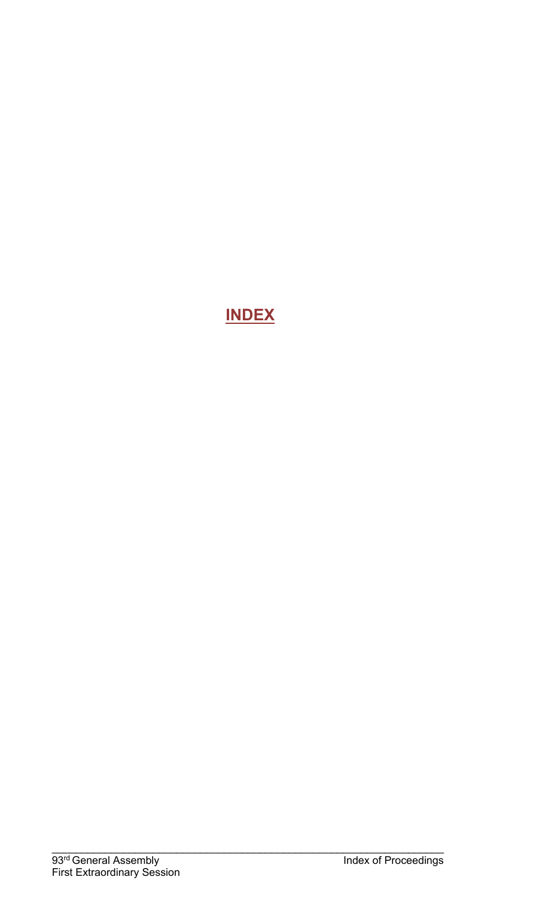# **INDEX**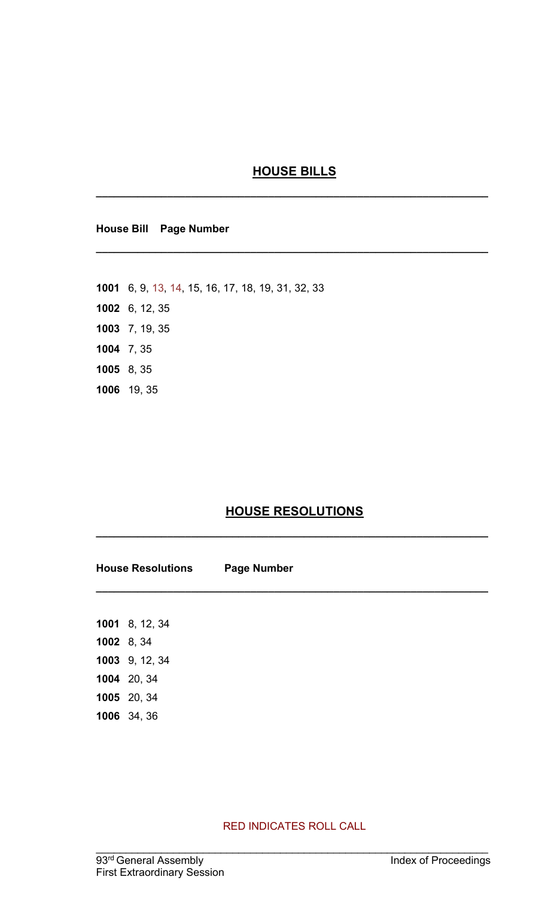#### **HOUSE BILLS**

**\_\_\_\_\_\_\_\_\_\_\_\_\_\_\_\_\_\_\_\_\_\_\_\_\_\_\_\_\_\_\_\_\_\_\_\_\_\_\_\_\_\_\_\_\_\_\_\_\_\_\_\_\_\_\_\_\_\_\_\_\_\_\_\_\_\_**

**\_\_\_\_\_\_\_\_\_\_\_\_\_\_\_\_\_\_\_\_\_\_\_\_\_\_\_\_\_\_\_\_\_\_\_\_\_\_\_\_\_\_\_\_\_\_\_\_\_\_\_\_\_\_\_\_\_\_\_\_\_\_\_\_\_\_**

**House Bill Page Number**

**1001** 6, 9, 13, 14, 15, 16, 17, 18, 19, 31, 32, 33 **1002** 6, 12, 35 **1003** 7, 19, 35 **1004** 7, 35 **1005** 8, 35 **1006** 19, 35

### **HOUSE RESOLUTIONS**

**\_\_\_\_\_\_\_\_\_\_\_\_\_\_\_\_\_\_\_\_\_\_\_\_\_\_\_\_\_\_\_\_\_\_\_\_\_\_\_\_\_\_\_\_\_\_\_\_\_\_\_\_\_\_\_\_\_\_\_\_\_\_\_\_\_\_**

**\_\_\_\_\_\_\_\_\_\_\_\_\_\_\_\_\_\_\_\_\_\_\_\_\_\_\_\_\_\_\_\_\_\_\_\_\_\_\_\_\_\_\_\_\_\_\_\_\_\_\_\_\_\_\_\_\_\_\_\_\_\_\_\_\_\_**

**House Resolutions Page Number**

**1001** 8, 12, 34 **1002** 8, 34 **1003** 9, 12, 34 **1004** 20, 34 **1005** 20, 34 **1006** 34, 36

RED INDICATES ROLL CALL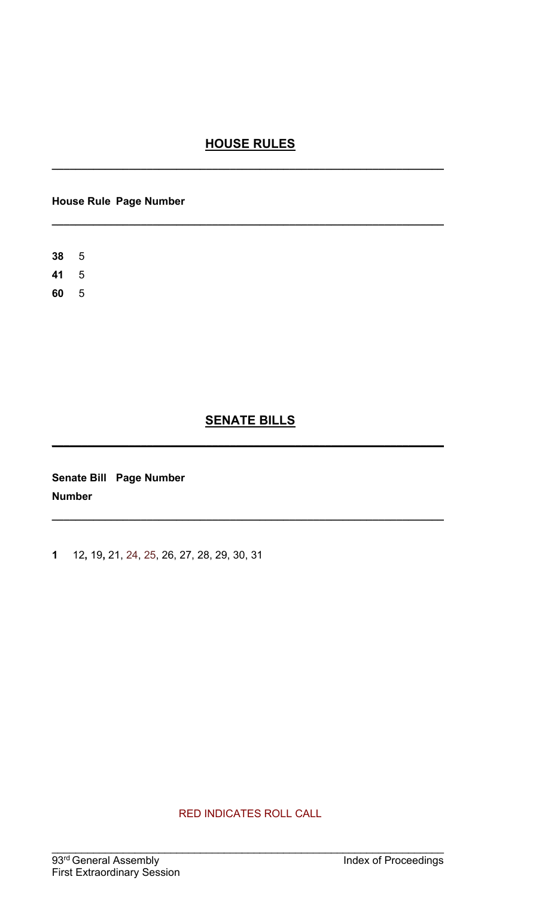### **HOUSE RULES**

**\_\_\_\_\_\_\_\_\_\_\_\_\_\_\_\_\_\_\_\_\_\_\_\_\_\_\_\_\_\_\_\_\_\_\_\_\_\_\_\_\_\_\_\_\_\_\_\_\_\_\_\_\_\_\_\_\_\_\_\_\_\_\_\_\_\_**

**\_\_\_\_\_\_\_\_\_\_\_\_\_\_\_\_\_\_\_\_\_\_\_\_\_\_\_\_\_\_\_\_\_\_\_\_\_\_\_\_\_\_\_\_\_\_\_\_\_\_\_\_\_\_\_\_\_\_\_\_\_\_\_\_\_\_**

#### **House Rule Page Number**

### **SENATE BILLS**

**\_\_\_\_\_\_\_\_\_\_\_\_\_\_\_\_\_\_\_\_\_\_\_\_\_\_\_\_\_\_\_\_\_\_\_\_\_\_\_\_\_\_\_\_\_\_\_\_\_\_\_\_\_\_\_\_\_\_\_\_\_\_\_\_\_\_**

**\_\_\_\_\_\_\_\_\_\_\_\_\_\_\_\_\_\_\_\_\_\_\_\_\_\_\_\_\_\_\_\_\_\_\_\_\_\_\_\_\_\_\_\_\_\_\_\_\_\_\_\_\_\_\_\_\_\_\_\_\_\_\_\_\_\_**

**Senate Bill Page Number Number**

**1** 12**,** 19**,** 21, 24, 25, 26, 27, 28, 29, 30, 31

RED INDICATES ROLL CALL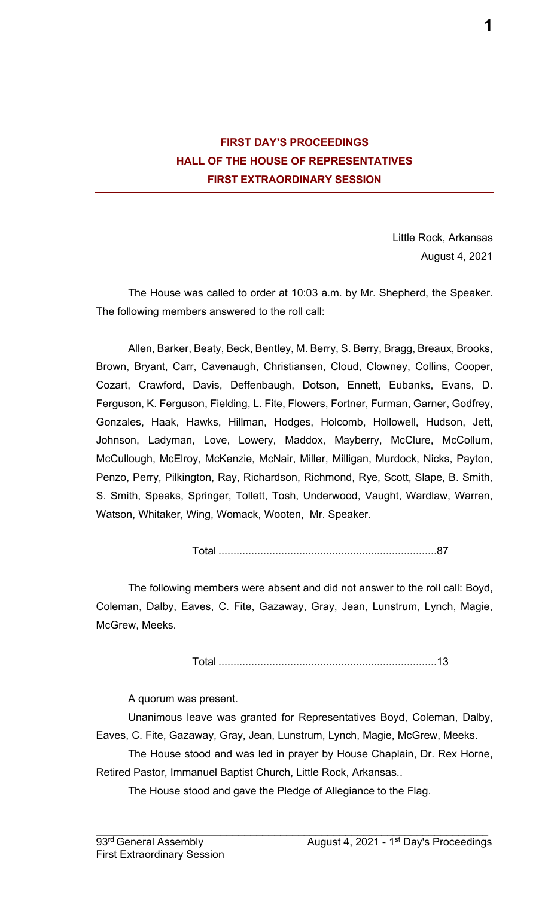### **FIRST DAY'S PROCEEDINGS HALL OF THE HOUSE OF REPRESENTATIVES FIRST EXTRAORDINARY SESSION**

Little Rock, Arkansas August 4, 2021

The House was called to order at 10:03 a.m. by Mr. Shepherd, the Speaker. The following members answered to the roll call:

Allen, Barker, Beaty, Beck, Bentley, M. Berry, S. Berry, Bragg, Breaux, Brooks, Brown, Bryant, Carr, Cavenaugh, Christiansen, Cloud, Clowney, Collins, Cooper, Cozart, Crawford, Davis, Deffenbaugh, Dotson, Ennett, Eubanks, Evans, D. Ferguson, K. Ferguson, Fielding, L. Fite, Flowers, Fortner, Furman, Garner, Godfrey, Gonzales, Haak, Hawks, Hillman, Hodges, Holcomb, Hollowell, Hudson, Jett, Johnson, Ladyman, Love, Lowery, Maddox, Mayberry, McClure, McCollum, McCullough, McElroy, McKenzie, McNair, Miller, Milligan, Murdock, Nicks, Payton, Penzo, Perry, Pilkington, Ray, Richardson, Richmond, Rye, Scott, Slape, B. Smith, S. Smith, Speaks, Springer, Tollett, Tosh, Underwood, Vaught, Wardlaw, Warren, Watson, Whitaker, Wing, Womack, Wooten, Mr. Speaker.

Total .........................................................................87

The following members were absent and did not answer to the roll call: Boyd, Coleman, Dalby, Eaves, C. Fite, Gazaway, Gray, Jean, Lunstrum, Lynch, Magie, McGrew, Meeks.

Total .........................................................................13

A quorum was present.

Unanimous leave was granted for Representatives Boyd, Coleman, Dalby, Eaves, C. Fite, Gazaway, Gray, Jean, Lunstrum, Lynch, Magie, McGrew, Meeks.

The House stood and was led in prayer by House Chaplain, Dr. Rex Horne, Retired Pastor, Immanuel Baptist Church, Little Rock, Arkansas..

 $\mathcal{L}_\mathcal{L} = \mathcal{L}_\mathcal{L} = \mathcal{L}_\mathcal{L} = \mathcal{L}_\mathcal{L} = \mathcal{L}_\mathcal{L} = \mathcal{L}_\mathcal{L} = \mathcal{L}_\mathcal{L} = \mathcal{L}_\mathcal{L} = \mathcal{L}_\mathcal{L} = \mathcal{L}_\mathcal{L} = \mathcal{L}_\mathcal{L} = \mathcal{L}_\mathcal{L} = \mathcal{L}_\mathcal{L} = \mathcal{L}_\mathcal{L} = \mathcal{L}_\mathcal{L} = \mathcal{L}_\mathcal{L} = \mathcal{L}_\mathcal{L}$ 

The House stood and gave the Pledge of Allegiance to the Flag.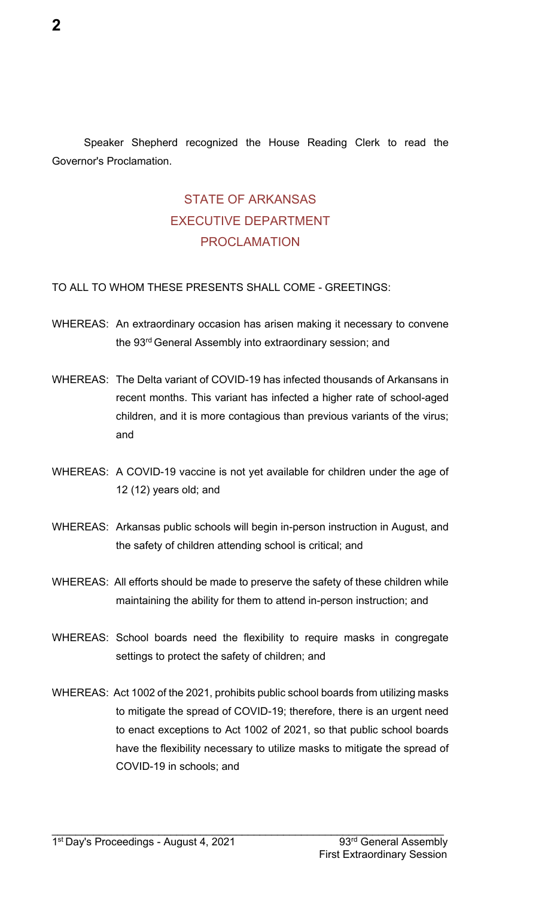Speaker Shepherd recognized the House Reading Clerk to read the Governor's Proclamation.

# STATE OF ARKANSAS EXECUTIVE DEPARTMENT PROCLAMATION

#### TO ALL TO WHOM THESE PRESENTS SHALL COME - GREETINGS:

- WHEREAS: An extraordinary occasion has arisen making it necessary to convene the 93<sup>rd</sup> General Assembly into extraordinary session; and
- WHEREAS: The Delta variant of COVID-19 has infected thousands of Arkansans in recent months. This variant has infected a higher rate of school-aged children, and it is more contagious than previous variants of the virus; and
- WHEREAS: A COVID-19 vaccine is not yet available for children under the age of 12 (12) years old; and
- WHEREAS: Arkansas public schools will begin in-person instruction in August, and the safety of children attending school is critical; and
- WHEREAS: All efforts should be made to preserve the safety of these children while maintaining the ability for them to attend in-person instruction; and
- WHEREAS: School boards need the flexibility to require masks in congregate settings to protect the safety of children; and
- WHEREAS: Act 1002 of the 2021, prohibits public school boards from utilizing masks to mitigate the spread of COVID-19; therefore, there is an urgent need to enact exceptions to Act 1002 of 2021, so that public school boards have the flexibility necessary to utilize masks to mitigate the spread of COVID-19 in schools; and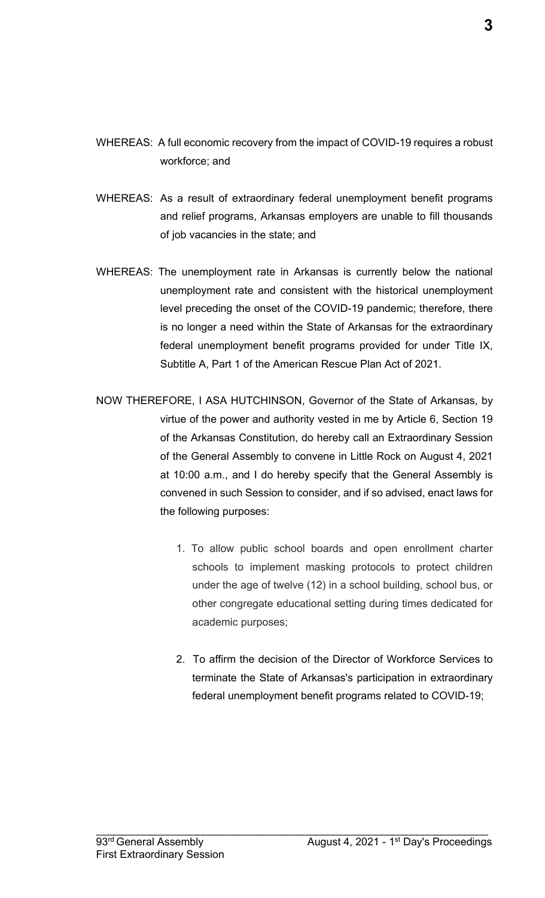- WHEREAS: A full economic recovery from the impact of COVID-19 requires a robust workforce; and
- WHEREAS: As a result of extraordinary federal unemployment benefit programs and relief programs, Arkansas employers are unable to fill thousands of job vacancies in the state; and
- WHEREAS: The unemployment rate in Arkansas is currently below the national unemployment rate and consistent with the historical unemployment level preceding the onset of the COVID-19 pandemic; therefore, there is no longer a need within the State of Arkansas for the extraordinary federal unemployment benefit programs provided for under Title IX, Subtitle A, Part 1 of the American Rescue Plan Act of 2021.
- NOW THEREFORE, I ASA HUTCHINSON, Governor of the State of Arkansas, by virtue of the power and authority vested in me by Article 6, Section 19 of the Arkansas Constitution, do hereby call an Extraordinary Session of the General Assembly to convene in Little Rock on August 4, 2021 at 10:00 a.m., and I do hereby specify that the General Assembly is convened in such Session to consider, and if so advised, enact laws for the following purposes:
	- 1. To allow public school boards and open enrollment charter schools to implement masking protocols to protect children under the age of twelve (12) in a school building, school bus, or other congregate educational setting during times dedicated for academic purposes;
	- 2. To affirm the decision of the Director of Workforce Services to terminate the State of Arkansas's participation in extraordinary federal unemployment benefit programs related to COVID-19;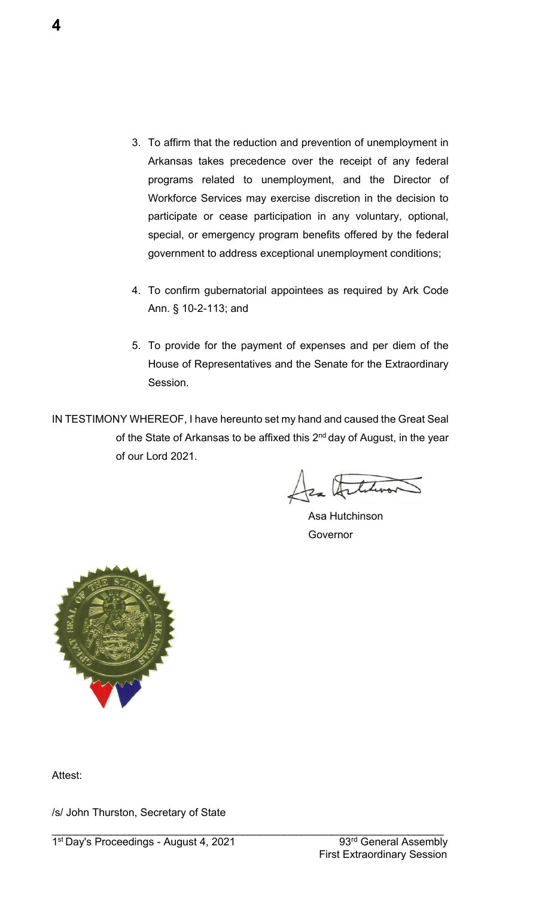- 3. To affirm that the reduction and prevention of unemployment in Arkansas takes precedence over the receipt of any federal programs related to unemployment, and the Director of Workforce Services may exercise discretion in the decision to participate or cease participation in any voluntary, optional, special, or emergency program benefits offered by the federal government to address exceptional unemployment conditions;
- 4. To confirm gubernatorial appointees as required by Ark Code Ann. § 10-2-113; and
- 5. To provide for the payment of expenses and per diem of the House of Representatives and the Senate for the Extraordinary Session.

IN TESTIMONY WHEREOF, I have hereunto set my hand and caused the Great Seal of the State of Arkansas to be affixed this 2<sup>nd</sup> day of August, in the year of our Lord 2021.

 $\mathcal{L}_\mathcal{L} = \mathcal{L}_\mathcal{L} = \mathcal{L}_\mathcal{L} = \mathcal{L}_\mathcal{L} = \mathcal{L}_\mathcal{L} = \mathcal{L}_\mathcal{L} = \mathcal{L}_\mathcal{L} = \mathcal{L}_\mathcal{L} = \mathcal{L}_\mathcal{L} = \mathcal{L}_\mathcal{L} = \mathcal{L}_\mathcal{L} = \mathcal{L}_\mathcal{L} = \mathcal{L}_\mathcal{L} = \mathcal{L}_\mathcal{L} = \mathcal{L}_\mathcal{L} = \mathcal{L}_\mathcal{L} = \mathcal{L}_\mathcal{L}$ 

Jea Artiturar

Asa Hutchinson Governor



Attest:

/s/ John Thurston, Secretary of State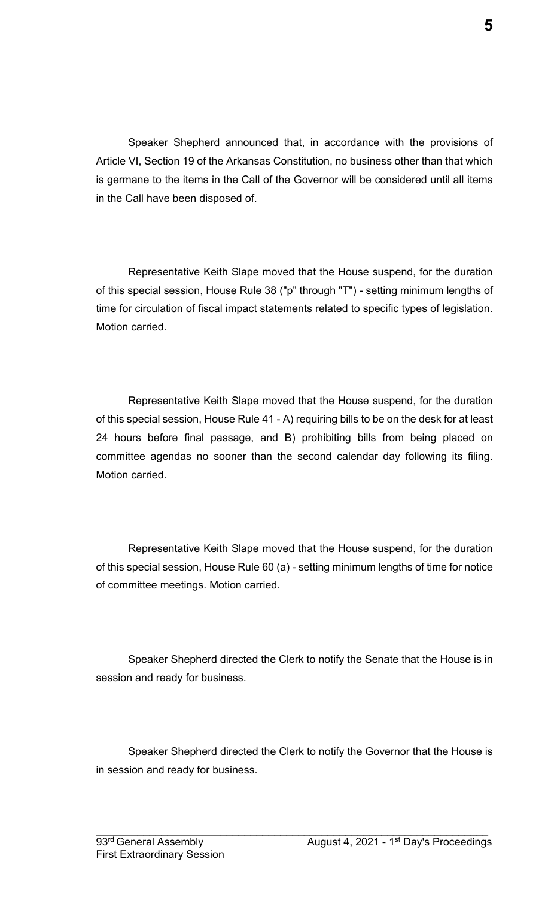Speaker Shepherd announced that, in accordance with the provisions of Article VI, Section 19 of the Arkansas Constitution, no business other than that which is germane to the items in the Call of the Governor will be considered until all items in the Call have been disposed of.

Representative Keith Slape moved that the House suspend, for the duration of this special session, House Rule 38 ("p" through "T") - setting minimum lengths of time for circulation of fiscal impact statements related to specific types of legislation. Motion carried.

Representative Keith Slape moved that the House suspend, for the duration of this special session, House Rule 41 - A) requiring bills to be on the desk for at least 24 hours before final passage, and B) prohibiting bills from being placed on committee agendas no sooner than the second calendar day following its filing. Motion carried.

Representative Keith Slape moved that the House suspend, for the duration of this special session, House Rule 60 (a) - setting minimum lengths of time for notice of committee meetings. Motion carried.

Speaker Shepherd directed the Clerk to notify the Senate that the House is in session and ready for business.

Speaker Shepherd directed the Clerk to notify the Governor that the House is in session and ready for business.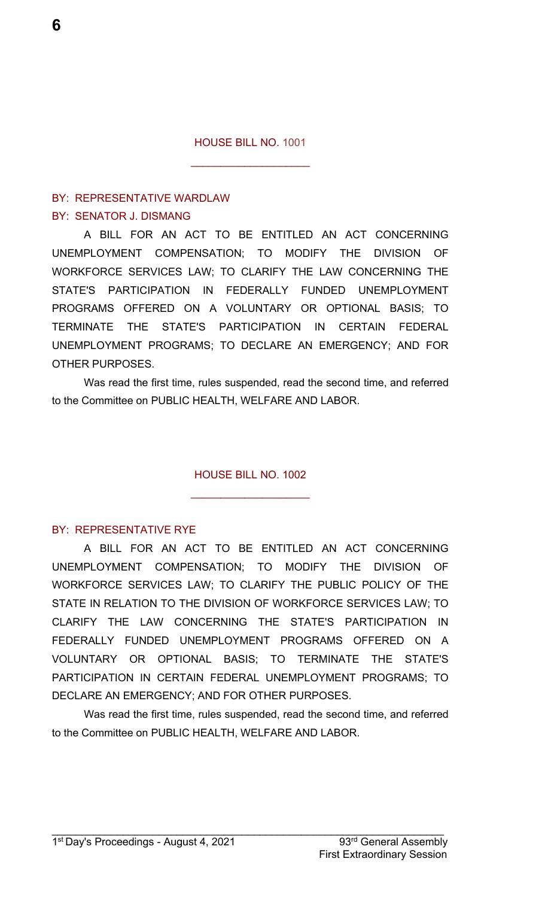$\overline{\phantom{a}}$  , where  $\overline{\phantom{a}}$  , where  $\overline{\phantom{a}}$  , where  $\overline{\phantom{a}}$ 

#### BY: REPRESENTATIVE WARDLAW BY: SENATOR J. DISMANG

A BILL FOR AN ACT TO BE ENTITLED AN ACT CONCERNING UNEMPLOYMENT COMPENSATION; TO MODIFY THE DIVISION OF WORKFORCE SERVICES LAW; TO CLARIFY THE LAW CONCERNING THE STATE'S PARTICIPATION IN FEDERALLY FUNDED UNEMPLOYMENT PROGRAMS OFFERED ON A VOLUNTARY OR OPTIONAL BASIS; TO TERMINATE THE STATE'S PARTICIPATION IN CERTAIN FEDERAL UNEMPLOYMENT PROGRAMS; TO DECLARE AN EMERGENCY; AND FOR OTHER PURPOSES.

Was read the first time, rules suspended, read the second time, and referred to the Committee on PUBLIC HEALTH, WELFARE AND LABOR.

#### HOUSE BILL NO. 1002

\_\_\_\_\_\_\_\_\_\_\_\_\_\_\_\_\_\_\_\_

#### BY: REPRESENTATIVE RYE

A BILL FOR AN ACT TO BE ENTITLED AN ACT CONCERNING UNEMPLOYMENT COMPENSATION; TO MODIFY THE DIVISION OF WORKFORCE SERVICES LAW; TO CLARIFY THE PUBLIC POLICY OF THE STATE IN RELATION TO THE DIVISION OF WORKFORCE SERVICES LAW; TO CLARIFY THE LAW CONCERNING THE STATE'S PARTICIPATION IN FEDERALLY FUNDED UNEMPLOYMENT PROGRAMS OFFERED ON A VOLUNTARY OR OPTIONAL BASIS; TO TERMINATE THE STATE'S PARTICIPATION IN CERTAIN FEDERAL UNEMPLOYMENT PROGRAMS; TO DECLARE AN EMERGENCY; AND FOR OTHER PURPOSES.

Was read the first time, rules suspended, read the second time, and referred to the Committee on PUBLIC HEALTH, WELFARE AND LABOR.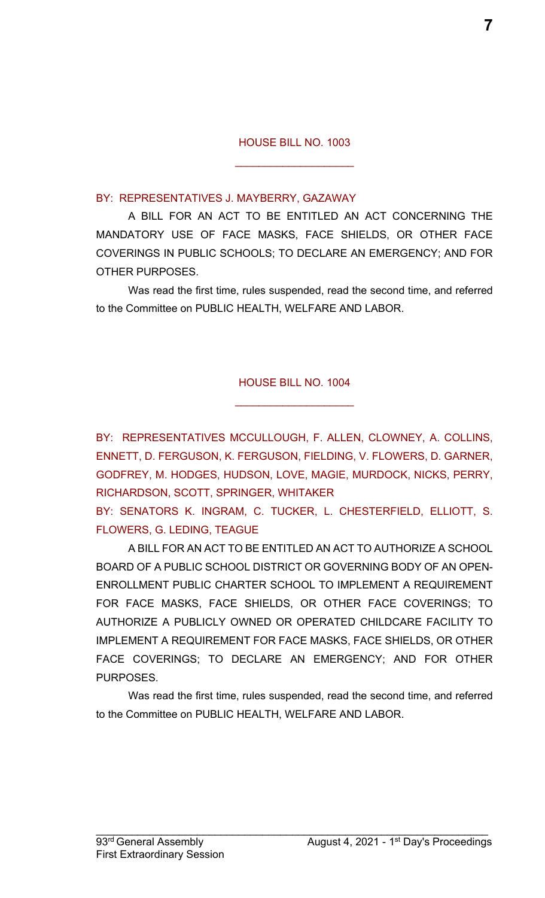$\mathcal{L}_\text{max}$  , where  $\mathcal{L}_\text{max}$  , we have the set of  $\mathcal{L}_\text{max}$ 

#### BY: REPRESENTATIVES J. MAYBERRY, GAZAWAY

A BILL FOR AN ACT TO BE ENTITLED AN ACT CONCERNING THE MANDATORY USE OF FACE MASKS, FACE SHIELDS, OR OTHER FACE COVERINGS IN PUBLIC SCHOOLS; TO DECLARE AN EMERGENCY; AND FOR OTHER PURPOSES.

Was read the first time, rules suspended, read the second time, and referred to the Committee on PUBLIC HEALTH, WELFARE AND LABOR.

#### HOUSE BILL NO. 1004

\_\_\_\_\_\_\_\_\_\_\_\_\_\_\_\_\_\_\_\_

BY: REPRESENTATIVES MCCULLOUGH, F. ALLEN, CLOWNEY, A. COLLINS, ENNETT, D. FERGUSON, K. FERGUSON, FIELDING, V. FLOWERS, D. GARNER, GODFREY, M. HODGES, HUDSON, LOVE, MAGIE, MURDOCK, NICKS, PERRY, RICHARDSON, SCOTT, SPRINGER, WHITAKER

BY: SENATORS K. INGRAM, C. TUCKER, L. CHESTERFIELD, ELLIOTT, S. FLOWERS, G. LEDING, TEAGUE

A BILL FOR AN ACT TO BE ENTITLED AN ACT TO AUTHORIZE A SCHOOL BOARD OF A PUBLIC SCHOOL DISTRICT OR GOVERNING BODY OF AN OPEN-ENROLLMENT PUBLIC CHARTER SCHOOL TO IMPLEMENT A REQUIREMENT FOR FACE MASKS, FACE SHIELDS, OR OTHER FACE COVERINGS; TO AUTHORIZE A PUBLICLY OWNED OR OPERATED CHILDCARE FACILITY TO IMPLEMENT A REQUIREMENT FOR FACE MASKS, FACE SHIELDS, OR OTHER FACE COVERINGS; TO DECLARE AN EMERGENCY; AND FOR OTHER PURPOSES.

Was read the first time, rules suspended, read the second time, and referred to the Committee on PUBLIC HEALTH, WELFARE AND LABOR.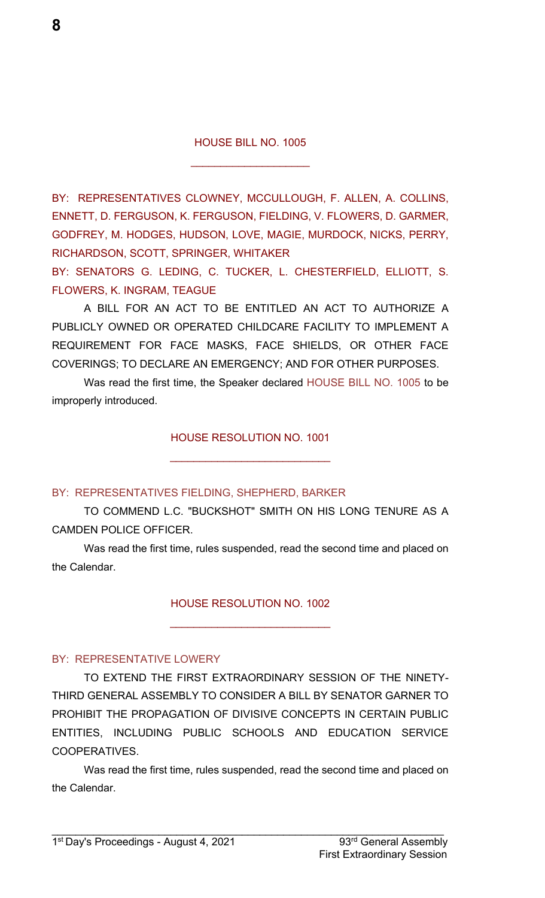$\overline{\phantom{a}}$  , where  $\overline{\phantom{a}}$  , where  $\overline{\phantom{a}}$  , where  $\overline{\phantom{a}}$ 

BY: REPRESENTATIVES CLOWNEY, MCCULLOUGH, F. ALLEN, A. COLLINS, ENNETT, D. FERGUSON, K. FERGUSON, FIELDING, V. FLOWERS, D. GARMER, GODFREY, M. HODGES, HUDSON, LOVE, MAGIE, MURDOCK, NICKS, PERRY, RICHARDSON, SCOTT, SPRINGER, WHITAKER

BY: SENATORS G. LEDING, C. TUCKER, L. CHESTERFIELD, ELLIOTT, S. FLOWERS, K. INGRAM, TEAGUE

A BILL FOR AN ACT TO BE ENTITLED AN ACT TO AUTHORIZE A PUBLICLY OWNED OR OPERATED CHILDCARE FACILITY TO IMPLEMENT A REQUIREMENT FOR FACE MASKS, FACE SHIELDS, OR OTHER FACE COVERINGS; TO DECLARE AN EMERGENCY; AND FOR OTHER PURPOSES.

Was read the first time, the Speaker declared HOUSE BILL NO. 1005 to be improperly introduced.

#### HOUSE RESOLUTION NO. 1001

 $\mathcal{L}_\text{max}$  , where  $\mathcal{L}_\text{max}$  , we have the set of  $\mathcal{L}_\text{max}$ 

#### BY: REPRESENTATIVES FIELDING, SHEPHERD, BARKER

TO COMMEND L.C. "BUCKSHOT" SMITH ON HIS LONG TENURE AS A CAMDEN POLICE OFFICER.

Was read the first time, rules suspended, read the second time and placed on the Calendar.

HOUSE RESOLUTION NO. 1002

 $\mathcal{L}_\text{max}$  , where  $\mathcal{L}_\text{max}$  , we have the set of  $\mathcal{L}_\text{max}$ 

#### BY: REPRESENTATIVE LOWERY

TO EXTEND THE FIRST EXTRAORDINARY SESSION OF THE NINETY-THIRD GENERAL ASSEMBLY TO CONSIDER A BILL BY SENATOR GARNER TO PROHIBIT THE PROPAGATION OF DIVISIVE CONCEPTS IN CERTAIN PUBLIC ENTITIES, INCLUDING PUBLIC SCHOOLS AND EDUCATION SERVICE COOPERATIVES.

Was read the first time, rules suspended, read the second time and placed on the Calendar.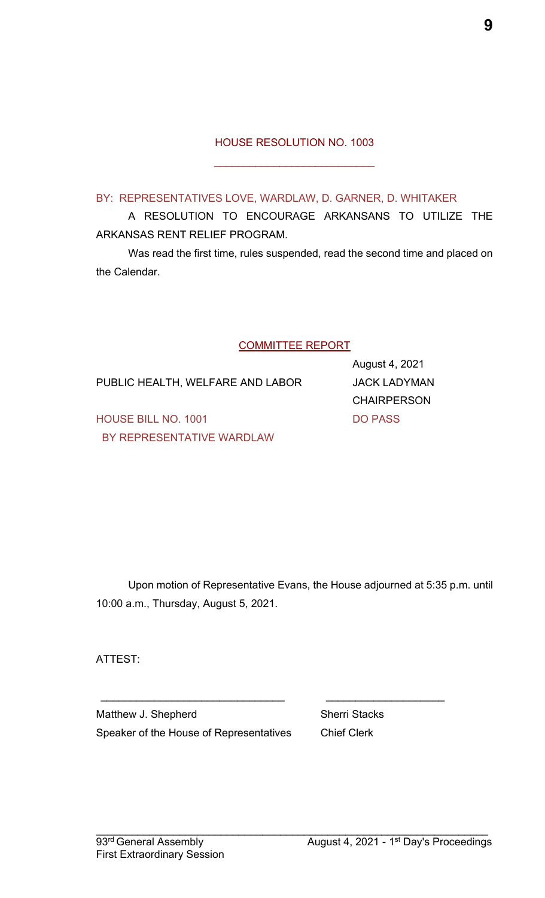#### HOUSE RESOLUTION NO. 1003

\_\_\_\_\_\_\_\_\_\_\_\_\_\_\_\_\_\_\_\_\_\_\_\_\_\_\_

#### BY: REPRESENTATIVES LOVE, WARDLAW, D. GARNER, D. WHITAKER

A RESOLUTION TO ENCOURAGE ARKANSANS TO UTILIZE THE ARKANSAS RENT RELIEF PROGRAM.

Was read the first time, rules suspended, read the second time and placed on the Calendar.

#### COMMITTEE REPORT

PUBLIC HEALTH, WELFARE AND LABOR JACK LADYMAN

August 4, 2021 CHAIRPERSON

HOUSE BILL NO. 1001 DO PASS BY REPRESENTATIVE WARDLAW

Upon motion of Representative Evans, the House adjourned at 5:35 p.m. until 10:00 a.m., Thursday, August 5, 2021.

 $\mathcal{L}_\text{max}$  , and the contract of the contract of the contract of the contract of the contract of the contract of the contract of the contract of the contract of the contract of the contract of the contract of the contr

 $\mathcal{L}_\mathcal{L} = \mathcal{L}_\mathcal{L} = \mathcal{L}_\mathcal{L} = \mathcal{L}_\mathcal{L} = \mathcal{L}_\mathcal{L} = \mathcal{L}_\mathcal{L} = \mathcal{L}_\mathcal{L} = \mathcal{L}_\mathcal{L} = \mathcal{L}_\mathcal{L} = \mathcal{L}_\mathcal{L} = \mathcal{L}_\mathcal{L} = \mathcal{L}_\mathcal{L} = \mathcal{L}_\mathcal{L} = \mathcal{L}_\mathcal{L} = \mathcal{L}_\mathcal{L} = \mathcal{L}_\mathcal{L} = \mathcal{L}_\mathcal{L}$ 

ATTEST:

Matthew J. Shepherd Sherri Stacks Speaker of the House of Representatives Chief Clerk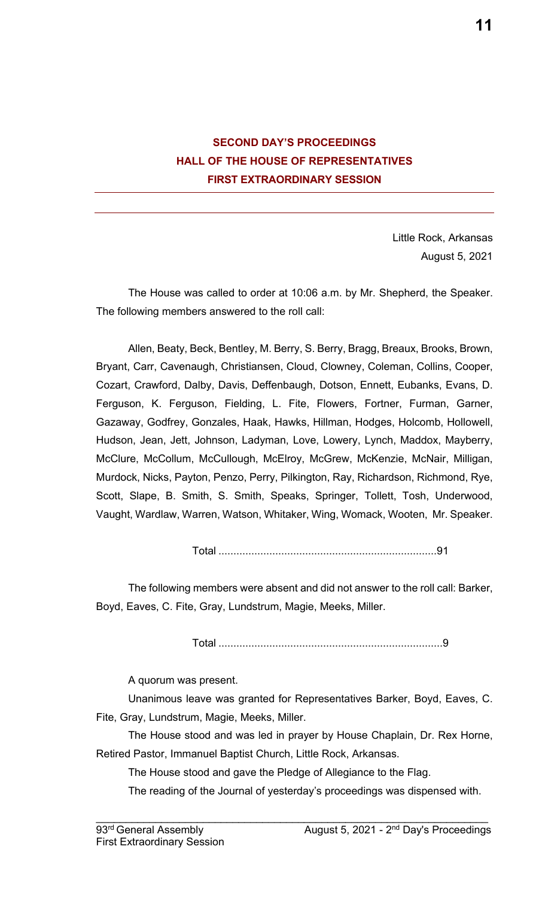

Little Rock, Arkansas August 5, 2021

The House was called to order at 10:06 a.m. by Mr. Shepherd, the Speaker. The following members answered to the roll call:

Allen, Beaty, Beck, Bentley, M. Berry, S. Berry, Bragg, Breaux, Brooks, Brown, Bryant, Carr, Cavenaugh, Christiansen, Cloud, Clowney, Coleman, Collins, Cooper, Cozart, Crawford, Dalby, Davis, Deffenbaugh, Dotson, Ennett, Eubanks, Evans, D. Ferguson, K. Ferguson, Fielding, L. Fite, Flowers, Fortner, Furman, Garner, Gazaway, Godfrey, Gonzales, Haak, Hawks, Hillman, Hodges, Holcomb, Hollowell, Hudson, Jean, Jett, Johnson, Ladyman, Love, Lowery, Lynch, Maddox, Mayberry, McClure, McCollum, McCullough, McElroy, McGrew, McKenzie, McNair, Milligan, Murdock, Nicks, Payton, Penzo, Perry, Pilkington, Ray, Richardson, Richmond, Rye, Scott, Slape, B. Smith, S. Smith, Speaks, Springer, Tollett, Tosh, Underwood, Vaught, Wardlaw, Warren, Watson, Whitaker, Wing, Womack, Wooten, Mr. Speaker.

Total .........................................................................91

The following members were absent and did not answer to the roll call: Barker, Boyd, Eaves, C. Fite, Gray, Lundstrum, Magie, Meeks, Miller.

Total ...........................................................................9

A quorum was present.

Unanimous leave was granted for Representatives Barker, Boyd, Eaves, C. Fite, Gray, Lundstrum, Magie, Meeks, Miller.

The House stood and was led in prayer by House Chaplain, Dr. Rex Horne, Retired Pastor, Immanuel Baptist Church, Little Rock, Arkansas.

 $\mathcal{L}_\mathcal{L} = \mathcal{L}_\mathcal{L} = \mathcal{L}_\mathcal{L} = \mathcal{L}_\mathcal{L} = \mathcal{L}_\mathcal{L} = \mathcal{L}_\mathcal{L} = \mathcal{L}_\mathcal{L} = \mathcal{L}_\mathcal{L} = \mathcal{L}_\mathcal{L} = \mathcal{L}_\mathcal{L} = \mathcal{L}_\mathcal{L} = \mathcal{L}_\mathcal{L} = \mathcal{L}_\mathcal{L} = \mathcal{L}_\mathcal{L} = \mathcal{L}_\mathcal{L} = \mathcal{L}_\mathcal{L} = \mathcal{L}_\mathcal{L}$ 

The House stood and gave the Pledge of Allegiance to the Flag.

The reading of the Journal of yesterday's proceedings was dispensed with.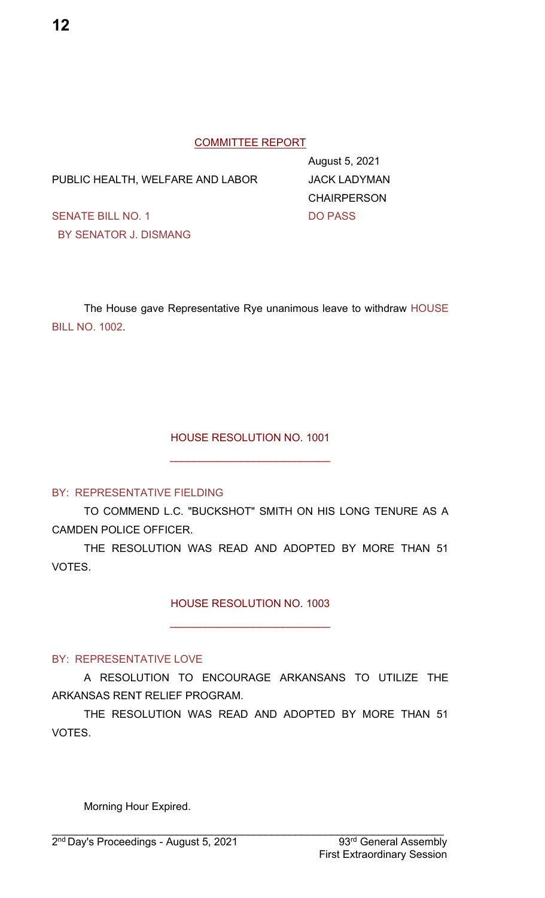#### COMMITTEE REPORT

PUBLIC HEALTH, WELFARE AND LABOR JACK LADYMAN

August 5, 2021 **CHAIRPERSON** 

SENATE BILL NO. 1 DO PASS BY SENATOR J. DISMANG

The House gave Representative Rye unanimous leave to withdraw HOUSE BILL NO. 1002.

#### HOUSE RESOLUTION NO. 1001

 $\mathcal{L}_\text{max}$  , where  $\mathcal{L}_\text{max}$  , we have the set of  $\mathcal{L}_\text{max}$ 

#### BY: REPRESENTATIVE FIELDING

TO COMMEND L.C. "BUCKSHOT" SMITH ON HIS LONG TENURE AS A CAMDEN POLICE OFFICER.

THE RESOLUTION WAS READ AND ADOPTED BY MORE THAN 51 VOTES.

HOUSE RESOLUTION NO. 1003

 $\mathcal{L}_\text{max}$  , where  $\mathcal{L}_\text{max}$  , we have the set of  $\mathcal{L}_\text{max}$ 

#### BY: REPRESENTATIVE LOVE

A RESOLUTION TO ENCOURAGE ARKANSANS TO UTILIZE THE ARKANSAS RENT RELIEF PROGRAM.

THE RESOLUTION WAS READ AND ADOPTED BY MORE THAN 51 VOTES.

 $\mathcal{L}_\mathcal{L} = \mathcal{L}_\mathcal{L} = \mathcal{L}_\mathcal{L} = \mathcal{L}_\mathcal{L} = \mathcal{L}_\mathcal{L} = \mathcal{L}_\mathcal{L} = \mathcal{L}_\mathcal{L} = \mathcal{L}_\mathcal{L} = \mathcal{L}_\mathcal{L} = \mathcal{L}_\mathcal{L} = \mathcal{L}_\mathcal{L} = \mathcal{L}_\mathcal{L} = \mathcal{L}_\mathcal{L} = \mathcal{L}_\mathcal{L} = \mathcal{L}_\mathcal{L} = \mathcal{L}_\mathcal{L} = \mathcal{L}_\mathcal{L}$ 

Morning Hour Expired.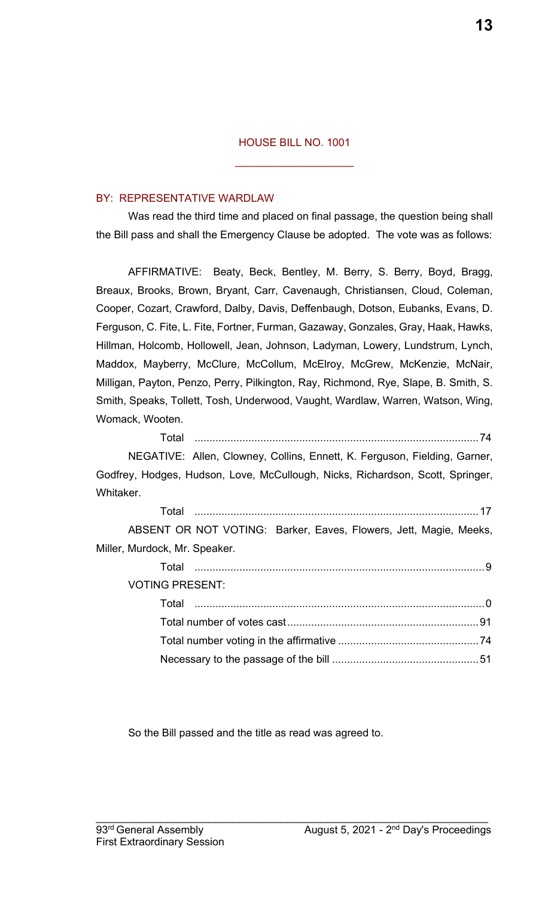$\mathcal{L}_\text{max}$  , where  $\mathcal{L}_\text{max}$  , we have the set of  $\mathcal{L}_\text{max}$ 

#### BY: REPRESENTATIVE WARDLAW

Was read the third time and placed on final passage, the question being shall the Bill pass and shall the Emergency Clause be adopted. The vote was as follows:

AFFIRMATIVE: Beaty, Beck, Bentley, M. Berry, S. Berry, Boyd, Bragg, Breaux, Brooks, Brown, Bryant, Carr, Cavenaugh, Christiansen, Cloud, Coleman, Cooper, Cozart, Crawford, Dalby, Davis, Deffenbaugh, Dotson, Eubanks, Evans, D. Ferguson, C. Fite, L. Fite, Fortner, Furman, Gazaway, Gonzales, Gray, Haak, Hawks, Hillman, Holcomb, Hollowell, Jean, Johnson, Ladyman, Lowery, Lundstrum, Lynch, Maddox, Mayberry, McClure, McCollum, McElroy, McGrew, McKenzie, McNair, Milligan, Payton, Penzo, Perry, Pilkington, Ray, Richmond, Rye, Slape, B. Smith, S. Smith, Speaks, Tollett, Tosh, Underwood, Vaught, Wardlaw, Warren, Watson, Wing, Womack, Wooten.

Total ...............................................................................................74 NEGATIVE: Allen, Clowney, Collins, Ennett, K. Ferguson, Fielding, Garner, Godfrey, Hodges, Hudson, Love, McCullough, Nicks, Richardson, Scott, Springer, Whitaker.

| Total                         |                                                                   |
|-------------------------------|-------------------------------------------------------------------|
|                               | ABSENT OR NOT VOTING: Barker, Eaves, Flowers, Jett, Magie, Meeks, |
| Miller, Murdock, Mr. Speaker. |                                                                   |
| Total                         |                                                                   |

VOTING PRESENT:

So the Bill passed and the title as read was agreed to.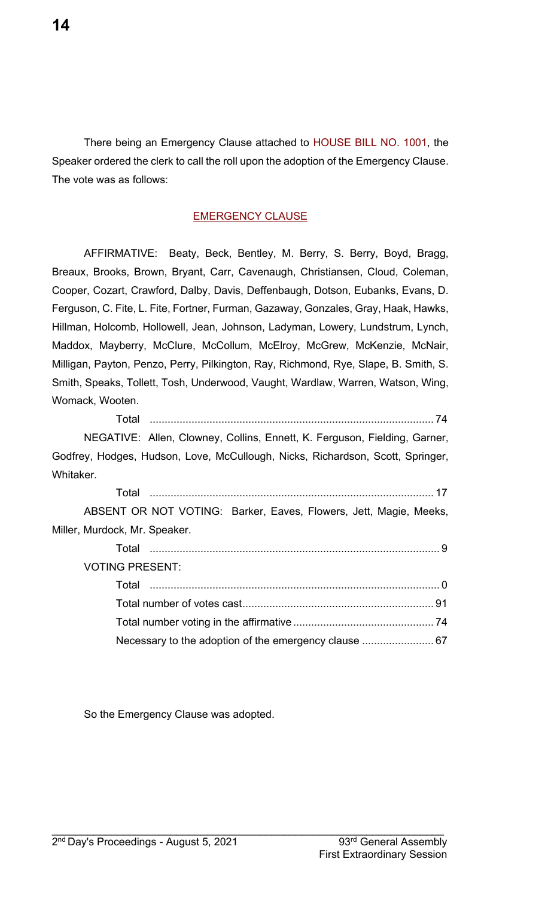There being an Emergency Clause attached to HOUSE BILL NO. 1001, the Speaker ordered the clerk to call the roll upon the adoption of the Emergency Clause. The vote was as follows:

#### EMERGENCY CLAUSE

AFFIRMATIVE: Beaty, Beck, Bentley, M. Berry, S. Berry, Boyd, Bragg, Breaux, Brooks, Brown, Bryant, Carr, Cavenaugh, Christiansen, Cloud, Coleman, Cooper, Cozart, Crawford, Dalby, Davis, Deffenbaugh, Dotson, Eubanks, Evans, D. Ferguson, C. Fite, L. Fite, Fortner, Furman, Gazaway, Gonzales, Gray, Haak, Hawks, Hillman, Holcomb, Hollowell, Jean, Johnson, Ladyman, Lowery, Lundstrum, Lynch, Maddox, Mayberry, McClure, McCollum, McElroy, McGrew, McKenzie, McNair, Milligan, Payton, Penzo, Perry, Pilkington, Ray, Richmond, Rye, Slape, B. Smith, S. Smith, Speaks, Tollett, Tosh, Underwood, Vaught, Wardlaw, Warren, Watson, Wing, Womack, Wooten.

Total ............................................................................................... 74

NEGATIVE: Allen, Clowney, Collins, Ennett, K. Ferguson, Fielding, Garner, Godfrey, Hodges, Hudson, Love, McCullough, Nicks, Richardson, Scott, Springer, Whitaker.

| ABSENT OR NOT VOTING: Barker, Eaves, Flowers, Jett, Magie, Meeks, |
|-------------------------------------------------------------------|
|                                                                   |
|                                                                   |
|                                                                   |
|                                                                   |
|                                                                   |
|                                                                   |
|                                                                   |
|                                                                   |

So the Emergency Clause was adopted.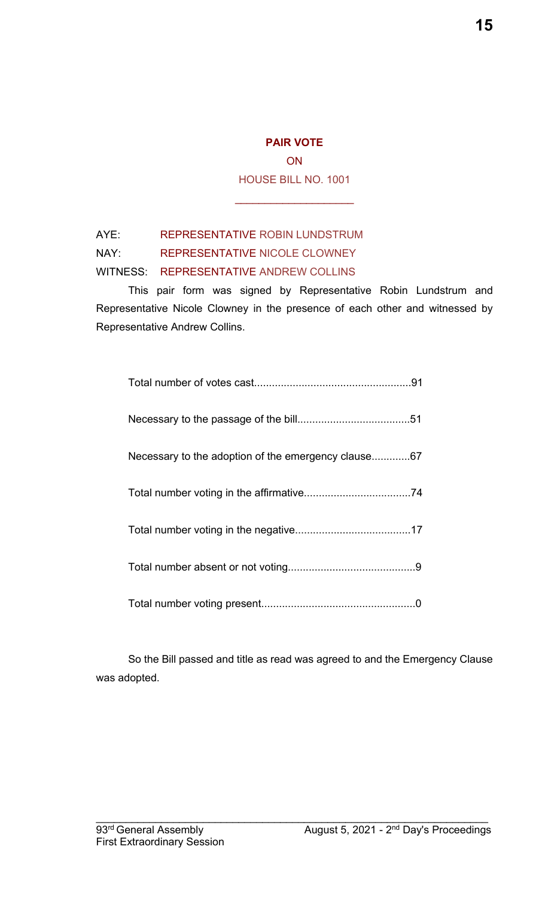**ON** HOUSE BILL NO. 1001

\_\_\_\_\_\_\_\_\_\_\_\_\_\_\_\_\_\_\_\_

### AYE: REPRESENTATIVE ROBIN LUNDSTRUM

NAY: REPRESENTATIVE NICOLE CLOWNEY

#### WITNESS: REPRESENTATIVE ANDREW COLLINS

This pair form was signed by Representative Robin Lundstrum and Representative Nicole Clowney in the presence of each other and witnessed by Representative Andrew Collins.

| Necessary to the adoption of the emergency clause67 |
|-----------------------------------------------------|
|                                                     |
|                                                     |
|                                                     |
|                                                     |

So the Bill passed and title as read was agreed to and the Emergency Clause was adopted.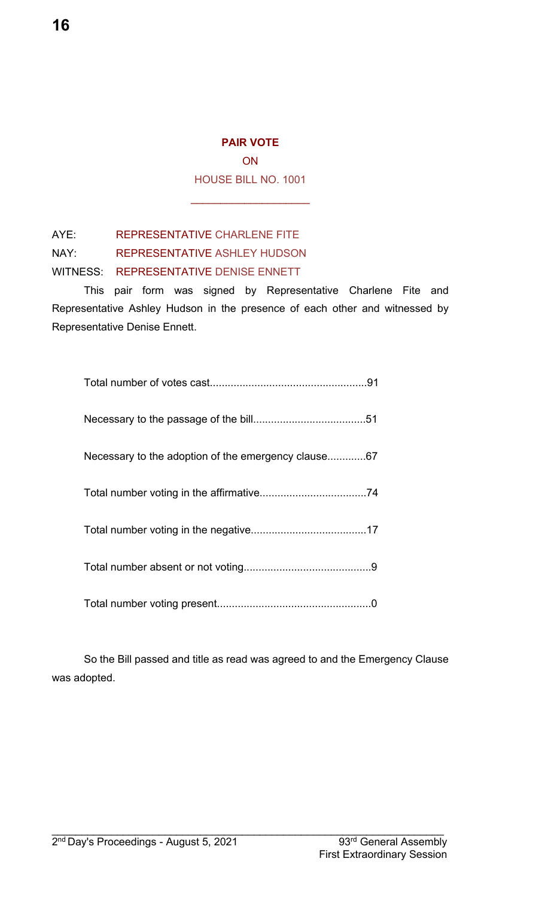**ON** HOUSE BILL NO. 1001

\_\_\_\_\_\_\_\_\_\_\_\_\_\_\_\_\_\_\_\_

AYE: REPRESENTATIVE CHARLENE FITE NAY: REPRESENTATIVE ASHLEY HUDSON

WITNESS: REPRESENTATIVE DENISE ENNETT

This pair form was signed by Representative Charlene Fite and Representative Ashley Hudson in the presence of each other and witnessed by Representative Denise Ennett.

| Necessary to the adoption of the emergency clause67 |
|-----------------------------------------------------|
|                                                     |
|                                                     |
|                                                     |
|                                                     |

So the Bill passed and title as read was agreed to and the Emergency Clause was adopted.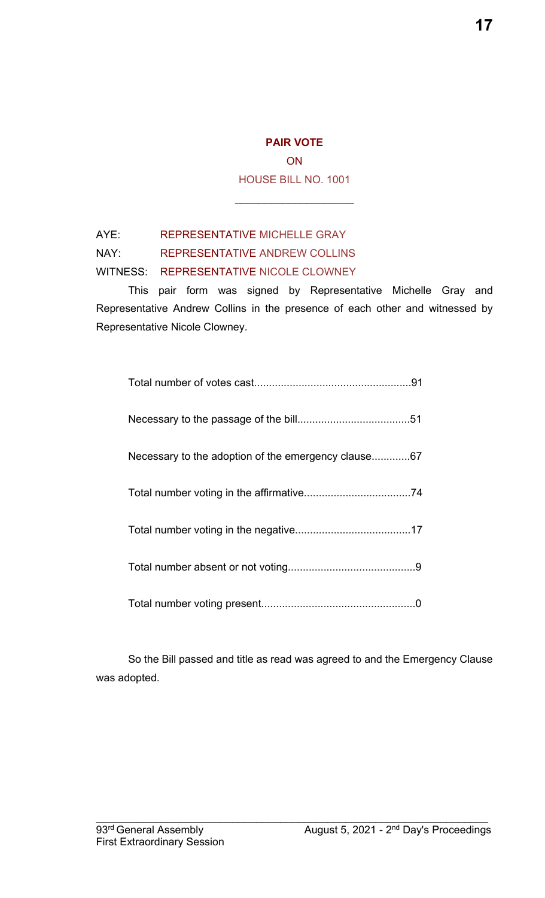**ON** HOUSE BILL NO. 1001

\_\_\_\_\_\_\_\_\_\_\_\_\_\_\_\_\_\_\_\_

### AYE: REPRESENTATIVE MICHELLE GRAY

NAY: REPRESENTATIVE ANDREW COLLINS

#### WITNESS: REPRESENTATIVE NICOLE CLOWNEY

This pair form was signed by Representative Michelle Gray and Representative Andrew Collins in the presence of each other and witnessed by Representative Nicole Clowney.

| Necessary to the adoption of the emergency clause67 |
|-----------------------------------------------------|
|                                                     |
|                                                     |
|                                                     |
|                                                     |

So the Bill passed and title as read was agreed to and the Emergency Clause was adopted.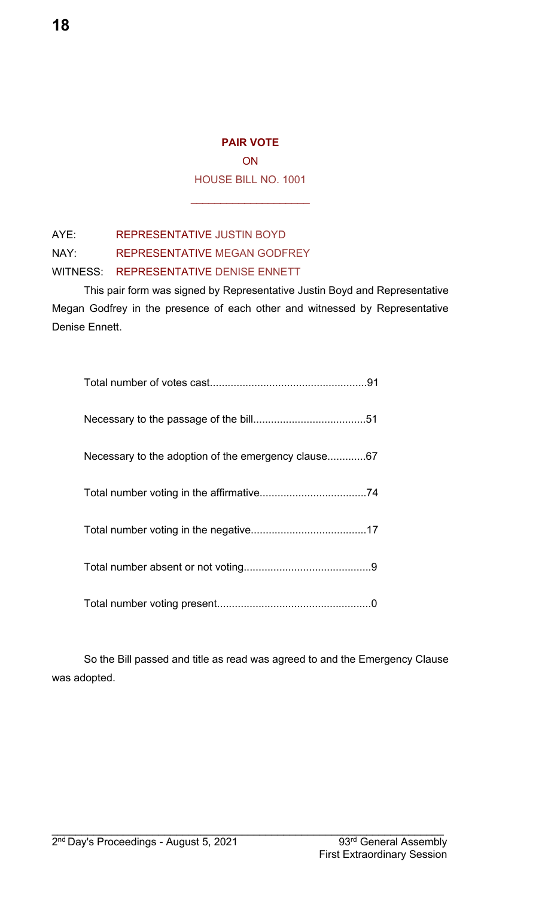**ON** 

HOUSE BILL NO. 1001

\_\_\_\_\_\_\_\_\_\_\_\_\_\_\_\_\_\_\_\_

AYE: REPRESENTATIVE JUSTIN BOYD

NAY: REPRESENTATIVE MEGAN GODFREY

#### WITNESS: REPRESENTATIVE DENISE ENNETT

This pair form was signed by Representative Justin Boyd and Representative Megan Godfrey in the presence of each other and witnessed by Representative Denise Ennett.

| Necessary to the adoption of the emergency clause67 |
|-----------------------------------------------------|
|                                                     |
|                                                     |
|                                                     |
|                                                     |

So the Bill passed and title as read was agreed to and the Emergency Clause was adopted.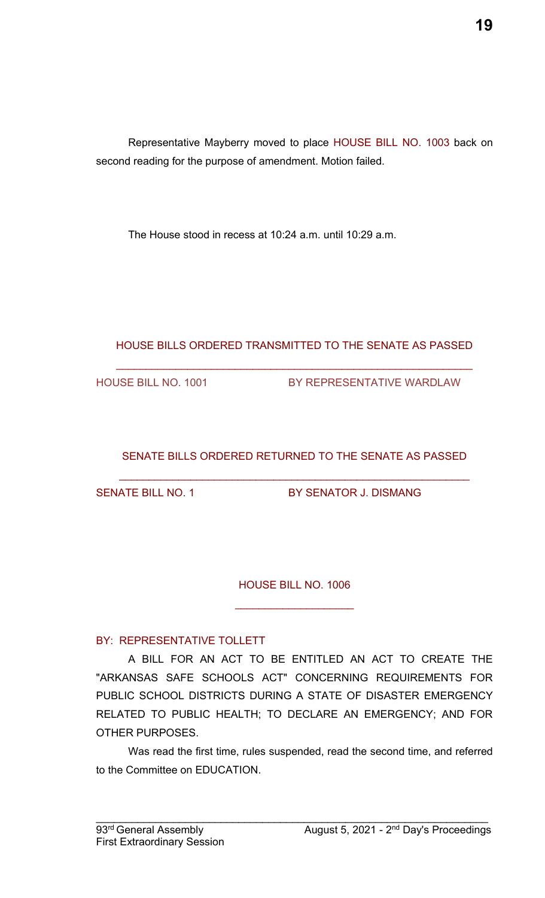Representative Mayberry moved to place HOUSE BILL NO. 1003 back on second reading for the purpose of amendment. Motion failed.

The House stood in recess at 10:24 a.m. until 10:29 a.m.

### HOUSE BILLS ORDERED TRANSMITTED TO THE SENATE AS PASSED

 $\mathcal{L}_\text{max}$  , and the contribution of the contribution of the contribution of the contribution of the contribution of the contribution of the contribution of the contribution of the contribution of the contribution of t

HOUSE BILL NO. 1001 BY REPRESENTATIVE WARDLAW

### SENATE BILLS ORDERED RETURNED TO THE SENATE AS PASSED

\_\_\_\_\_\_\_\_\_\_\_\_\_\_\_\_\_\_\_\_\_\_\_\_\_\_\_\_\_\_\_\_\_\_\_\_\_\_\_\_\_\_\_\_\_\_\_\_\_\_\_\_\_\_\_\_\_\_\_

SENATE BILL NO. 1 BY SENATOR J. DISMANG

HOUSE BILL NO. 1006

 $\mathcal{L}_\text{max}$  , where  $\mathcal{L}_\text{max}$  , we have the set of the set of the set of the set of the set of the set of the set of the set of the set of the set of the set of the set of the set of the set of the set of the set of

### BY: REPRESENTATIVE TOLLETT

A BILL FOR AN ACT TO BE ENTITLED AN ACT TO CREATE THE "ARKANSAS SAFE SCHOOLS ACT" CONCERNING REQUIREMENTS FOR PUBLIC SCHOOL DISTRICTS DURING A STATE OF DISASTER EMERGENCY RELATED TO PUBLIC HEALTH; TO DECLARE AN EMERGENCY; AND FOR OTHER PURPOSES.

Was read the first time, rules suspended, read the second time, and referred to the Committee on EDUCATION.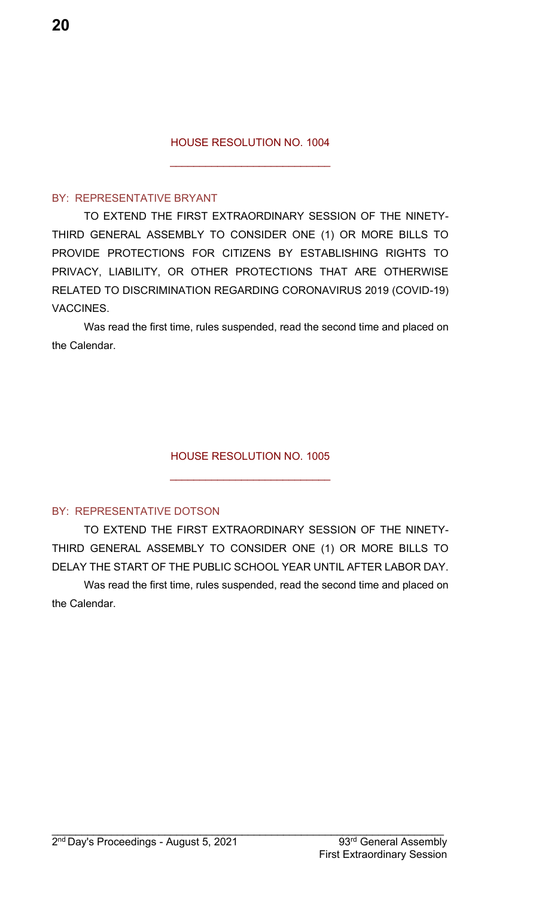#### HOUSE RESOLUTION NO. 1004

 $\mathcal{L}_\text{max}$  , where  $\mathcal{L}_\text{max}$  , we have the set of  $\mathcal{L}_\text{max}$ 

#### BY: REPRESENTATIVE BRYANT

TO EXTEND THE FIRST EXTRAORDINARY SESSION OF THE NINETY-THIRD GENERAL ASSEMBLY TO CONSIDER ONE (1) OR MORE BILLS TO PROVIDE PROTECTIONS FOR CITIZENS BY ESTABLISHING RIGHTS TO PRIVACY, LIABILITY, OR OTHER PROTECTIONS THAT ARE OTHERWISE RELATED TO DISCRIMINATION REGARDING CORONAVIRUS 2019 (COVID-19) VACCINES.

Was read the first time, rules suspended, read the second time and placed on the Calendar.

HOUSE RESOLUTION NO. 1005

\_\_\_\_\_\_\_\_\_\_\_\_\_\_\_\_\_\_\_\_\_\_\_\_\_\_\_

#### BY: REPRESENTATIVE DOTSON

TO EXTEND THE FIRST EXTRAORDINARY SESSION OF THE NINETY-THIRD GENERAL ASSEMBLY TO CONSIDER ONE (1) OR MORE BILLS TO DELAY THE START OF THE PUBLIC SCHOOL YEAR UNTIL AFTER LABOR DAY.

Was read the first time, rules suspended, read the second time and placed on the Calendar.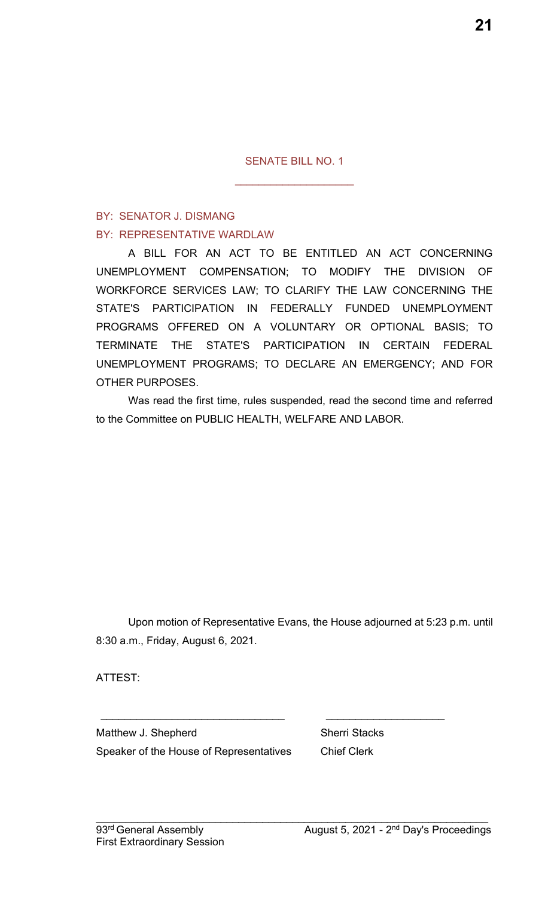SENATE BILL NO. 1

 $\overline{\phantom{a}}$  , and the set of the set of the set of the set of the set of the set of the set of the set of the set of the set of the set of the set of the set of the set of the set of the set of the set of the set of the s

### BY: SENATOR J. DISMANG BY: REPRESENTATIVE WARDLAW

A BILL FOR AN ACT TO BE ENTITLED AN ACT CONCERNING UNEMPLOYMENT COMPENSATION; TO MODIFY THE DIVISION OF WORKFORCE SERVICES LAW; TO CLARIFY THE LAW CONCERNING THE STATE'S PARTICIPATION IN FEDERALLY FUNDED UNEMPLOYMENT PROGRAMS OFFERED ON A VOLUNTARY OR OPTIONAL BASIS; TO TERMINATE THE STATE'S PARTICIPATION IN CERTAIN FEDERAL UNEMPLOYMENT PROGRAMS; TO DECLARE AN EMERGENCY; AND FOR OTHER PURPOSES.

Was read the first time, rules suspended, read the second time and referred to the Committee on PUBLIC HEALTH, WELFARE AND LABOR.

Upon motion of Representative Evans, the House adjourned at 5:23 p.m. until 8:30 a.m., Friday, August 6, 2021.

 $\mathcal{L}_\mathcal{L} = \mathcal{L}_\mathcal{L} = \mathcal{L}_\mathcal{L} = \mathcal{L}_\mathcal{L} = \mathcal{L}_\mathcal{L} = \mathcal{L}_\mathcal{L} = \mathcal{L}_\mathcal{L} = \mathcal{L}_\mathcal{L} = \mathcal{L}_\mathcal{L} = \mathcal{L}_\mathcal{L} = \mathcal{L}_\mathcal{L} = \mathcal{L}_\mathcal{L} = \mathcal{L}_\mathcal{L} = \mathcal{L}_\mathcal{L} = \mathcal{L}_\mathcal{L} = \mathcal{L}_\mathcal{L} = \mathcal{L}_\mathcal{L}$ 

 $\mathcal{L}_\text{max}$  , and the contract of the contract of the contract of the contract of the contract of the contract of the contract of the contract of the contract of the contract of the contract of the contract of the contr

ATTEST:

Matthew J. Shepherd Sherri Stacks Speaker of the House of Representatives Chief Clerk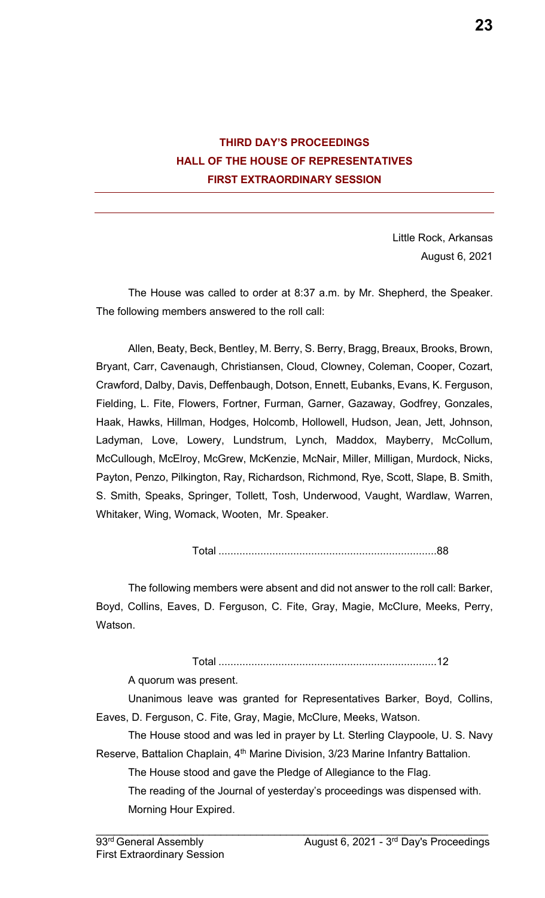

Little Rock, Arkansas August 6, 2021

The House was called to order at 8:37 a.m. by Mr. Shepherd, the Speaker. The following members answered to the roll call:

Allen, Beaty, Beck, Bentley, M. Berry, S. Berry, Bragg, Breaux, Brooks, Brown, Bryant, Carr, Cavenaugh, Christiansen, Cloud, Clowney, Coleman, Cooper, Cozart, Crawford, Dalby, Davis, Deffenbaugh, Dotson, Ennett, Eubanks, Evans, K. Ferguson, Fielding, L. Fite, Flowers, Fortner, Furman, Garner, Gazaway, Godfrey, Gonzales, Haak, Hawks, Hillman, Hodges, Holcomb, Hollowell, Hudson, Jean, Jett, Johnson, Ladyman, Love, Lowery, Lundstrum, Lynch, Maddox, Mayberry, McCollum, McCullough, McElroy, McGrew, McKenzie, McNair, Miller, Milligan, Murdock, Nicks, Payton, Penzo, Pilkington, Ray, Richardson, Richmond, Rye, Scott, Slape, B. Smith, S. Smith, Speaks, Springer, Tollett, Tosh, Underwood, Vaught, Wardlaw, Warren, Whitaker, Wing, Womack, Wooten, Mr. Speaker.

Total .........................................................................88

The following members were absent and did not answer to the roll call: Barker, Boyd, Collins, Eaves, D. Ferguson, C. Fite, Gray, Magie, McClure, Meeks, Perry, Watson.

#### Total .........................................................................12

A quorum was present.

Unanimous leave was granted for Representatives Barker, Boyd, Collins, Eaves, D. Ferguson, C. Fite, Gray, Magie, McClure, Meeks, Watson.

The House stood and was led in prayer by Lt. Sterling Claypoole, U. S. Navy Reserve, Battalion Chaplain, 4<sup>th</sup> Marine Division, 3/23 Marine Infantry Battalion.

The House stood and gave the Pledge of Allegiance to the Flag.

The reading of the Journal of yesterday's proceedings was dispensed with. Morning Hour Expired.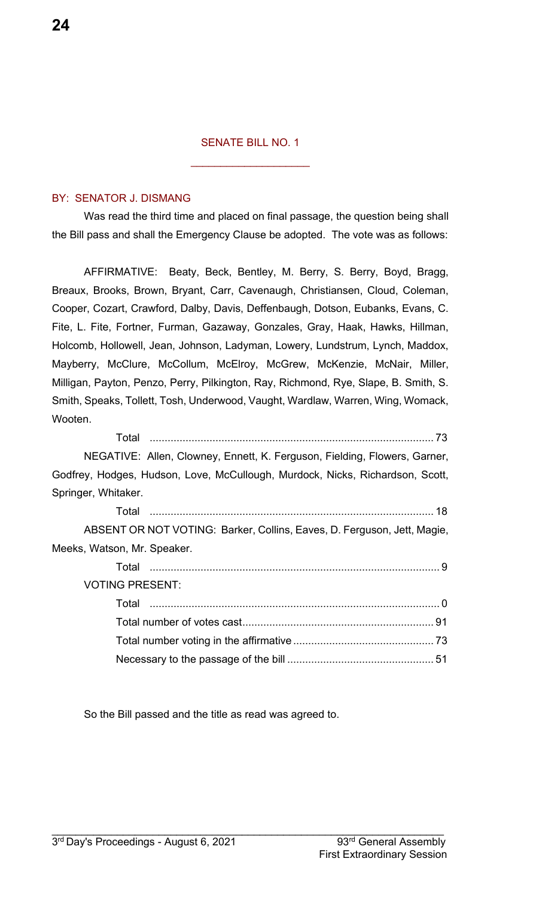#### SENATE BILL NO. 1

 $\overline{\phantom{a}}$  , where  $\overline{\phantom{a}}$  , where  $\overline{\phantom{a}}$  , where  $\overline{\phantom{a}}$ 

#### BY: SENATOR J. DISMANG

Was read the third time and placed on final passage, the question being shall the Bill pass and shall the Emergency Clause be adopted. The vote was as follows:

AFFIRMATIVE: Beaty, Beck, Bentley, M. Berry, S. Berry, Boyd, Bragg, Breaux, Brooks, Brown, Bryant, Carr, Cavenaugh, Christiansen, Cloud, Coleman, Cooper, Cozart, Crawford, Dalby, Davis, Deffenbaugh, Dotson, Eubanks, Evans, C. Fite, L. Fite, Fortner, Furman, Gazaway, Gonzales, Gray, Haak, Hawks, Hillman, Holcomb, Hollowell, Jean, Johnson, Ladyman, Lowery, Lundstrum, Lynch, Maddox, Mayberry, McClure, McCollum, McElroy, McGrew, McKenzie, McNair, Miller, Milligan, Payton, Penzo, Perry, Pilkington, Ray, Richmond, Rye, Slape, B. Smith, S. Smith, Speaks, Tollett, Tosh, Underwood, Vaught, Wardlaw, Warren, Wing, Womack, Wooten.

Total ............................................................................................... 73 NEGATIVE: Allen, Clowney, Ennett, K. Ferguson, Fielding, Flowers, Garner, Godfrey, Hodges, Hudson, Love, McCullough, Murdock, Nicks, Richardson, Scott, Springer, Whitaker.

Total ............................................................................................... 18 ABSENT OR NOT VOTING: Barker, Collins, Eaves, D. Ferguson, Jett, Magie, Meeks, Watson, Mr. Speaker. Total ................................................................................................. 9 VOTING PRESENT: Total ................................................................................................. 0 Total number of votes cast................................................................ 91 Total number voting in the affirmative............................................... 73 Necessary to the passage of the bill ................................................. 51

So the Bill passed and the title as read was agreed to.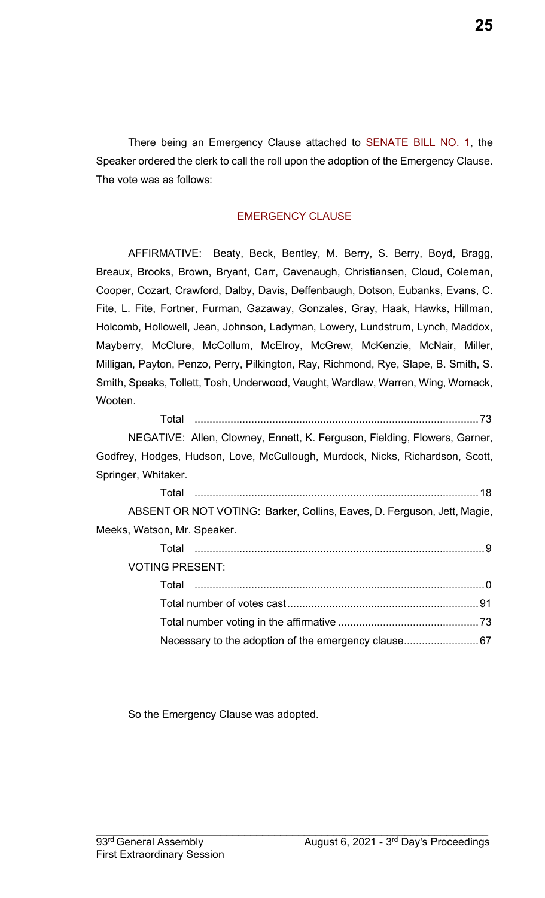There being an Emergency Clause attached to SENATE BILL NO. 1, the Speaker ordered the clerk to call the roll upon the adoption of the Emergency Clause. The vote was as follows:

#### EMERGENCY CLAUSE

AFFIRMATIVE: Beaty, Beck, Bentley, M. Berry, S. Berry, Boyd, Bragg, Breaux, Brooks, Brown, Bryant, Carr, Cavenaugh, Christiansen, Cloud, Coleman, Cooper, Cozart, Crawford, Dalby, Davis, Deffenbaugh, Dotson, Eubanks, Evans, C. Fite, L. Fite, Fortner, Furman, Gazaway, Gonzales, Gray, Haak, Hawks, Hillman, Holcomb, Hollowell, Jean, Johnson, Ladyman, Lowery, Lundstrum, Lynch, Maddox, Mayberry, McClure, McCollum, McElroy, McGrew, McKenzie, McNair, Miller, Milligan, Payton, Penzo, Perry, Pilkington, Ray, Richmond, Rye, Slape, B. Smith, S. Smith, Speaks, Tollett, Tosh, Underwood, Vaught, Wardlaw, Warren, Wing, Womack, Wooten.

Total ...............................................................................................73 NEGATIVE: Allen, Clowney, Ennett, K. Ferguson, Fielding, Flowers, Garner, Godfrey, Hodges, Hudson, Love, McCullough, Murdock, Nicks, Richardson, Scott, Springer, Whitaker. Total ...............................................................................................18 ABSENT OR NOT VOTING: Barker, Collins, Eaves, D. Ferguson, Jett, Magie, Meeks, Watson, Mr. Speaker. Total .................................................................................................9 VOTING PRESENT: Total .................................................................................................0 Total number of votes cast................................................................91 Total number voting in the affirmative ...............................................73

 $\mathcal{L}_\mathcal{L} = \mathcal{L}_\mathcal{L} = \mathcal{L}_\mathcal{L} = \mathcal{L}_\mathcal{L} = \mathcal{L}_\mathcal{L} = \mathcal{L}_\mathcal{L} = \mathcal{L}_\mathcal{L} = \mathcal{L}_\mathcal{L} = \mathcal{L}_\mathcal{L} = \mathcal{L}_\mathcal{L} = \mathcal{L}_\mathcal{L} = \mathcal{L}_\mathcal{L} = \mathcal{L}_\mathcal{L} = \mathcal{L}_\mathcal{L} = \mathcal{L}_\mathcal{L} = \mathcal{L}_\mathcal{L} = \mathcal{L}_\mathcal{L}$ 

Necessary to the adoption of the emergency clause.........................67

So the Emergency Clause was adopted.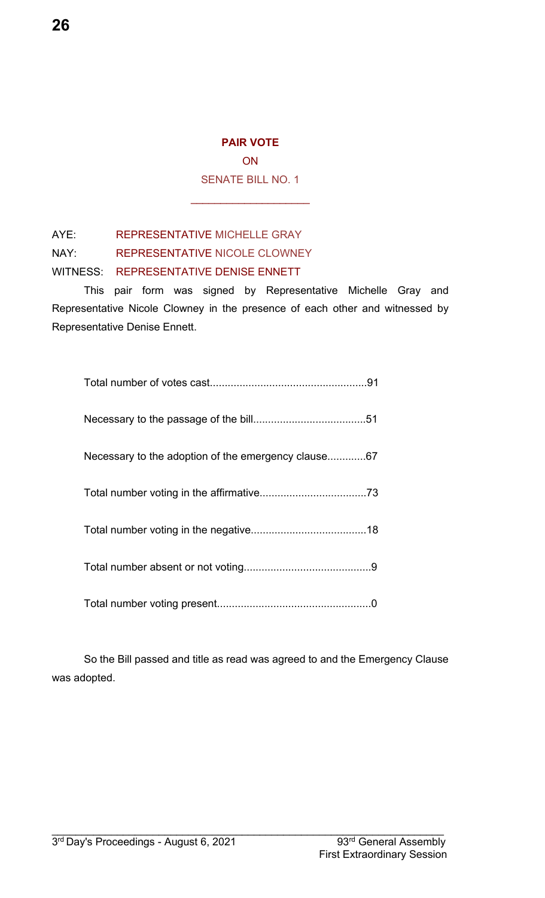**ON** 

SENATE BILL NO. 1

\_\_\_\_\_\_\_\_\_\_\_\_\_\_\_\_\_\_\_\_

AYE: REPRESENTATIVE MICHELLE GRAY

NAY: REPRESENTATIVE NICOLE CLOWNEY

WITNESS: REPRESENTATIVE DENISE ENNETT

This pair form was signed by Representative Michelle Gray and Representative Nicole Clowney in the presence of each other and witnessed by Representative Denise Ennett.

| Necessary to the adoption of the emergency clause67 |
|-----------------------------------------------------|
|                                                     |
|                                                     |
|                                                     |
|                                                     |

So the Bill passed and title as read was agreed to and the Emergency Clause was adopted.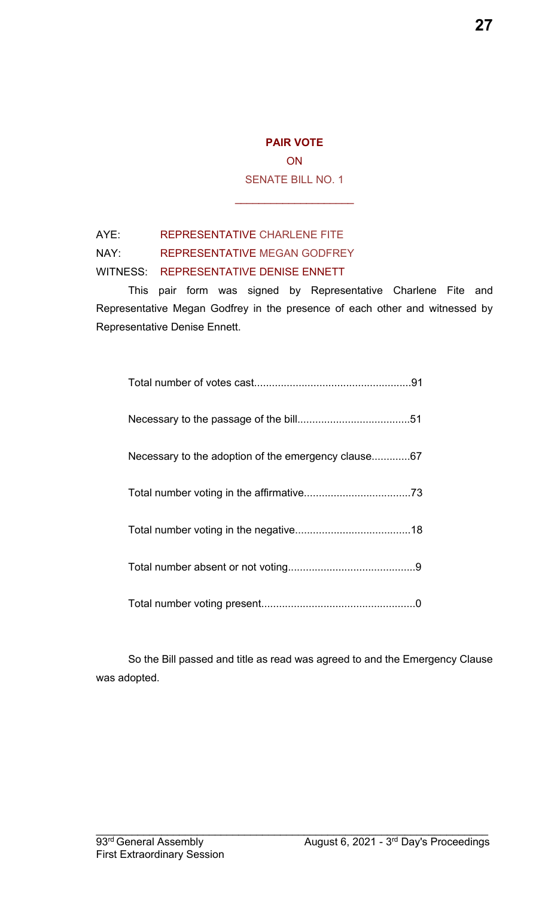**ON** SENATE BILL NO. 1

\_\_\_\_\_\_\_\_\_\_\_\_\_\_\_\_\_\_\_\_

### AYE: REPRESENTATIVE CHARLENE FITE

NAY: REPRESENTATIVE MEGAN GODFREY

#### WITNESS: REPRESENTATIVE DENISE ENNETT

This pair form was signed by Representative Charlene Fite and Representative Megan Godfrey in the presence of each other and witnessed by Representative Denise Ennett.

| Necessary to the adoption of the emergency clause67 |
|-----------------------------------------------------|
|                                                     |
|                                                     |
|                                                     |
|                                                     |

So the Bill passed and title as read was agreed to and the Emergency Clause was adopted.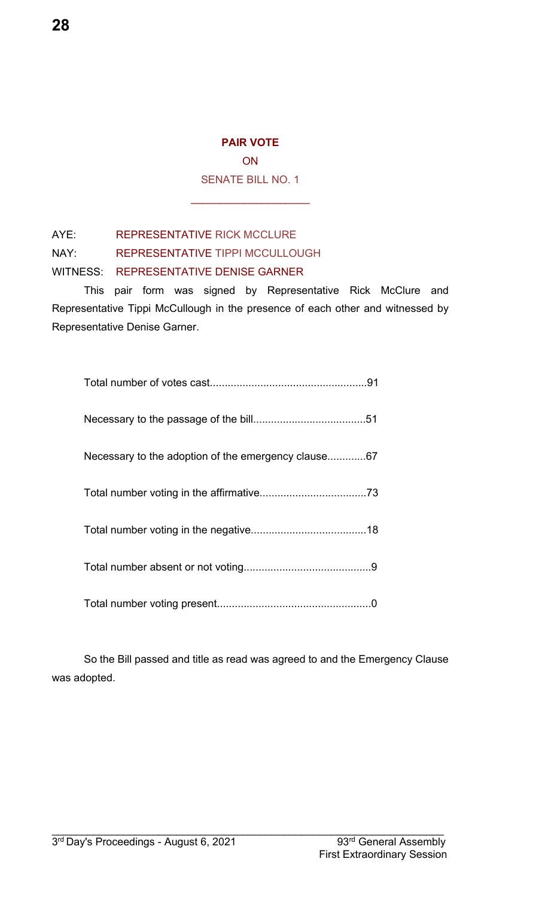**ON** 

SENATE BILL NO. 1

\_\_\_\_\_\_\_\_\_\_\_\_\_\_\_\_\_\_\_\_

AYE: REPRESENTATIVE RICK MCCLURE

NAY: REPRESENTATIVE TIPPI MCCULLOUGH

WITNESS: REPRESENTATIVE DENISE GARNER

This pair form was signed by Representative Rick McClure and Representative Tippi McCullough in the presence of each other and witnessed by Representative Denise Garner.

| Necessary to the adoption of the emergency clause67 |
|-----------------------------------------------------|
|                                                     |
|                                                     |
|                                                     |
|                                                     |

So the Bill passed and title as read was agreed to and the Emergency Clause was adopted.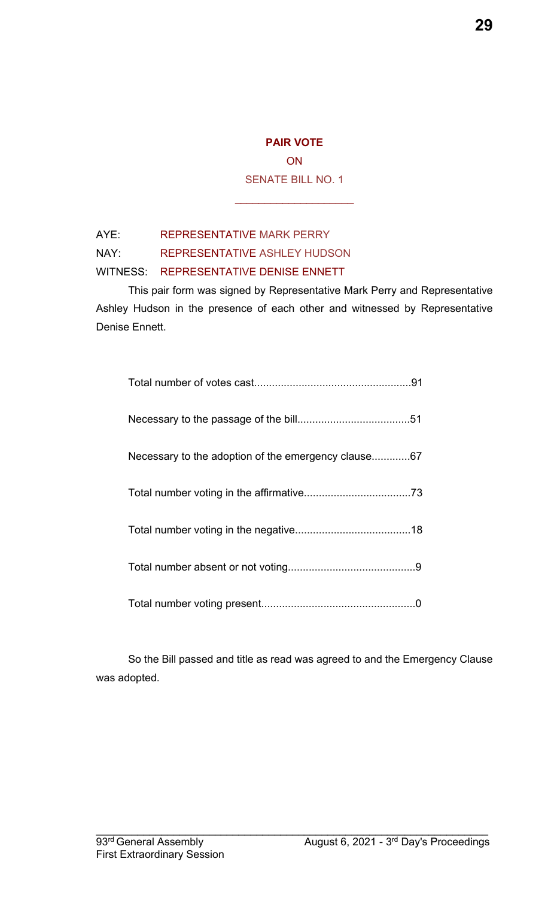**ON** SENATE BILL NO. 1

\_\_\_\_\_\_\_\_\_\_\_\_\_\_\_\_\_\_\_\_

#### AYE: REPRESENTATIVE MARK PERRY

NAY: REPRESENTATIVE ASHLEY HUDSON

#### WITNESS: REPRESENTATIVE DENISE ENNETT

This pair form was signed by Representative Mark Perry and Representative Ashley Hudson in the presence of each other and witnessed by Representative Denise Ennett.

| Necessary to the adoption of the emergency clause67 |
|-----------------------------------------------------|
|                                                     |
|                                                     |
|                                                     |
|                                                     |

So the Bill passed and title as read was agreed to and the Emergency Clause was adopted.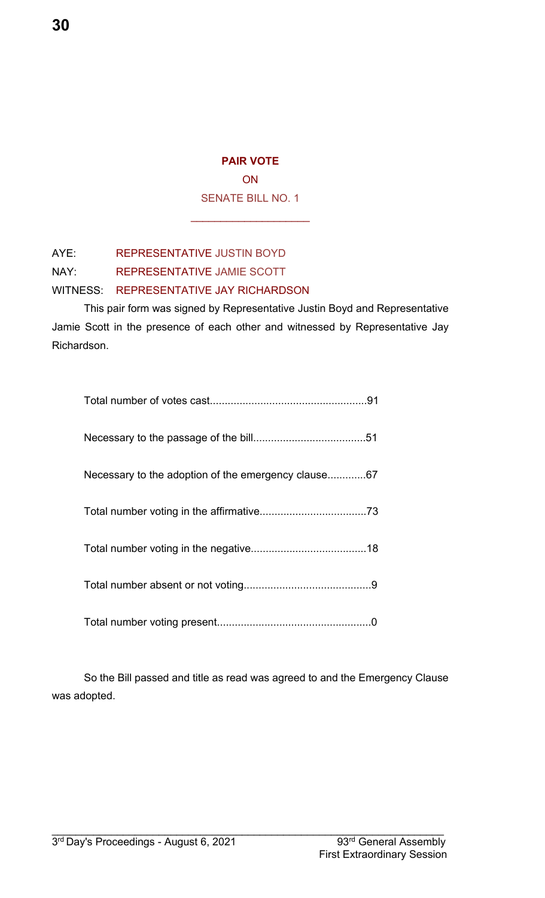ON SENATE BILL NO. 1

\_\_\_\_\_\_\_\_\_\_\_\_\_\_\_\_\_\_\_\_

AYE: REPRESENTATIVE JUSTIN BOYD

NAY: REPRESENTATIVE JAMIE SCOTT

WITNESS: REPRESENTATIVE JAY RICHARDSON

This pair form was signed by Representative Justin Boyd and Representative Jamie Scott in the presence of each other and witnessed by Representative Jay Richardson.

| Necessary to the adoption of the emergency clause67 |
|-----------------------------------------------------|
|                                                     |
|                                                     |
|                                                     |
|                                                     |

So the Bill passed and title as read was agreed to and the Emergency Clause was adopted.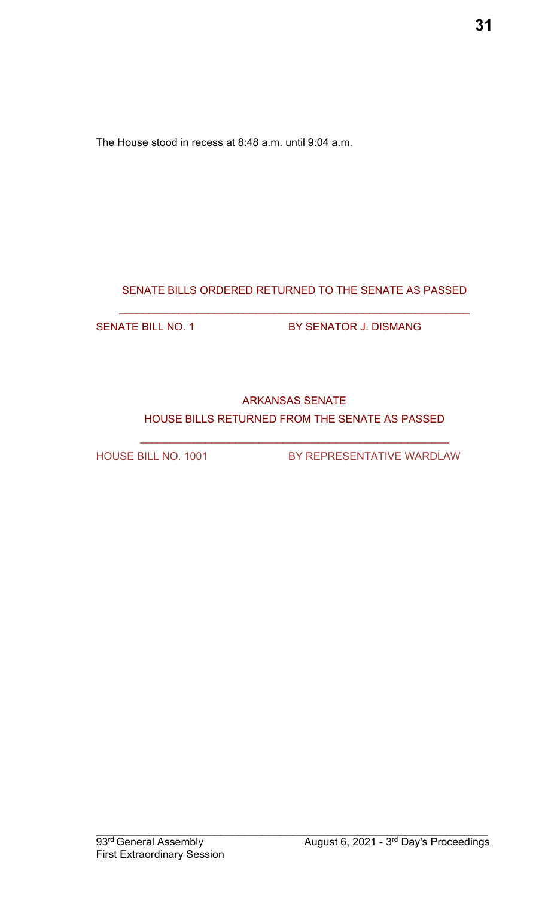The House stood in recess at 8:48 a.m. until 9:04 a.m.

### SENATE BILLS ORDERED RETURNED TO THE SENATE AS PASSED

\_\_\_\_\_\_\_\_\_\_\_\_\_\_\_\_\_\_\_\_\_\_\_\_\_\_\_\_\_\_\_\_\_\_\_\_\_\_\_\_\_\_\_\_\_\_\_\_\_\_\_\_\_\_\_\_\_\_\_

SENATE BILL NO. 1 BY SENATOR J. DISMANG

### ARKANSAS SENATE HOUSE BILLS RETURNED FROM THE SENATE AS PASSED

 $\mathcal{L}_\text{max}$  , and the contract of the contract of the contract of the contract of the contract of the contract of the contract of the contract of the contract of the contract of the contract of the contract of the contr

HOUSE BILL NO. 1001 BY REPRESENTATIVE WARDLAW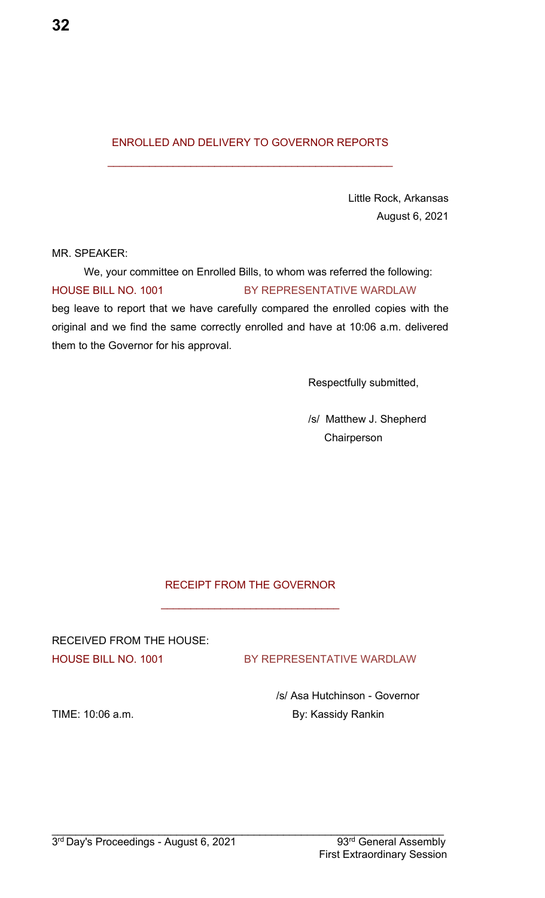#### ENROLLED AND DELIVERY TO GOVERNOR REPORTS

 $\mathcal{L}_\text{max}$  , and the set of the set of the set of the set of the set of the set of the set of the set of the set of the set of the set of the set of the set of the set of the set of the set of the set of the set of the

Little Rock, Arkansas August 6, 2021

MR. SPEAKER:

We, your committee on Enrolled Bills, to whom was referred the following: HOUSE BILL NO. 1001 BY REPRESENTATIVE WARDLAW beg leave to report that we have carefully compared the enrolled copies with the original and we find the same correctly enrolled and have at 10:06 a.m. delivered them to the Governor for his approval.

Respectfully submitted,

/s/ Matthew J. Shepherd **Chairperson** 

#### RECEIPT FROM THE GOVERNOR

\_\_\_\_\_\_\_\_\_\_\_\_\_\_\_\_\_\_\_\_\_\_\_\_\_\_\_\_\_\_

RECEIVED FROM THE HOUSE:

HOUSE BILL NO. 1001 BY REPRESENTATIVE WARDLAW

/s/ Asa Hutchinson - Governor TIME: 10:06 a.m. **By: Kassidy Rankin**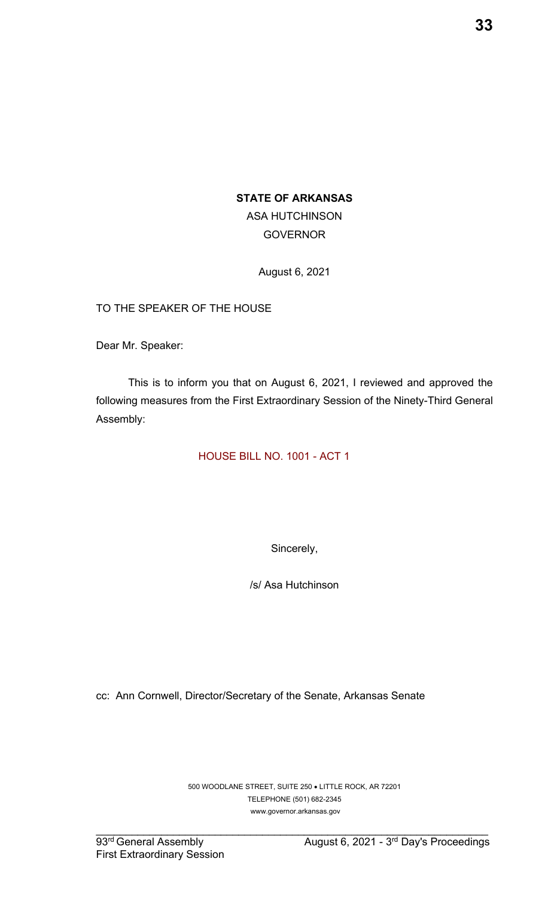#### **STATE OF ARKANSAS**

ASA HUTCHINSON GOVERNOR

August 6, 2021

TO THE SPEAKER OF THE HOUSE

Dear Mr. Speaker:

This is to inform you that on August 6, 2021, I reviewed and approved the following measures from the First Extraordinary Session of the Ninety-Third General Assembly:

HOUSE BILL NO. 1001 - ACT 1

Sincerely,

/s/ Asa Hutchinson

cc: Ann Cornwell, Director/Secretary of the Senate, Arkansas Senate

500 WOODLANE STREET, SUITE 250 LITTLE ROCK, AR 72201 TELEPHONE (501) 682-2345 www.governor.arkansas.gov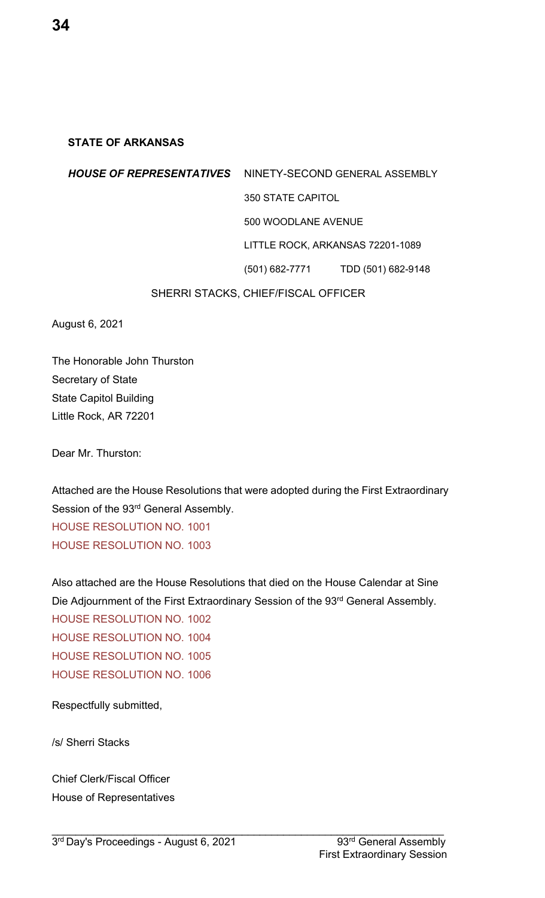#### **STATE OF ARKANSAS**

# *HOUSE OF REPRESENTATIVES* NINETY-SECOND GENERAL ASSEMBLY 350 STATE CAPITOL 500 WOODLANE AVENUE LITTLE ROCK, ARKANSAS 72201-1089 (501) 682-7771 TDD (501) 682-9148 SHERRI STACKS, CHIEF/FISCAL OFFICER

August 6, 2021

The Honorable John Thurston Secretary of State State Capitol Building Little Rock, AR 72201

Dear Mr. Thurston:

Attached are the House Resolutions that were adopted during the First Extraordinary Session of the 93<sup>rd</sup> General Assembly. HOUSE RESOLUTION NO. 1001 HOUSE RESOLUTION NO. 1003

Also attached are the House Resolutions that died on the House Calendar at Sine Die Adjournment of the First Extraordinary Session of the 93rd General Assembly.

 $\mathcal{L}_\mathcal{L} = \mathcal{L}_\mathcal{L} = \mathcal{L}_\mathcal{L} = \mathcal{L}_\mathcal{L} = \mathcal{L}_\mathcal{L} = \mathcal{L}_\mathcal{L} = \mathcal{L}_\mathcal{L} = \mathcal{L}_\mathcal{L} = \mathcal{L}_\mathcal{L} = \mathcal{L}_\mathcal{L} = \mathcal{L}_\mathcal{L} = \mathcal{L}_\mathcal{L} = \mathcal{L}_\mathcal{L} = \mathcal{L}_\mathcal{L} = \mathcal{L}_\mathcal{L} = \mathcal{L}_\mathcal{L} = \mathcal{L}_\mathcal{L}$ 

HOUSE RESOLUTION NO. 1002 HOUSE RESOLUTION NO. 1004 HOUSE RESOLUTION NO. 1005 HOUSE RESOLUTION NO. 1006

Respectfully submitted,

/s/ Sherri Stacks

Chief Clerk/Fiscal Officer House of Representatives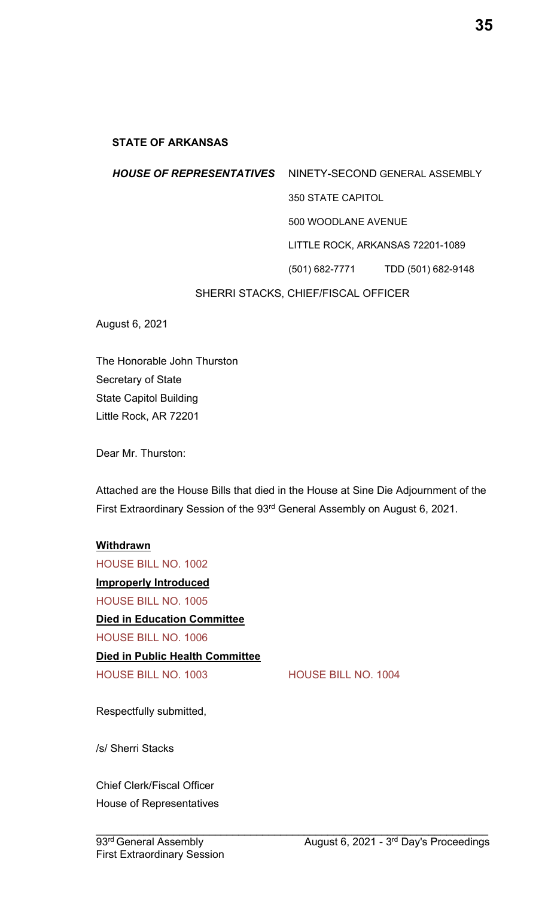#### **STATE OF ARKANSAS**

# *HOUSE OF REPRESENTATIVES* NINETY-SECOND GENERAL ASSEMBLY 350 STATE CAPITOL 500 WOODLANE AVENUE LITTLE ROCK, ARKANSAS 72201-1089 (501) 682-7771 TDD (501) 682-9148 SHERRI STACKS, CHIEF/FISCAL OFFICER

The Honorable John Thurston Secretary of State State Capitol Building Little Rock, AR 72201

Dear Mr. Thurston:

August 6, 2021

Attached are the House Bills that died in the House at Sine Die Adjournment of the First Extraordinary Session of the 93rd General Assembly on August 6, 2021.

#### **Withdrawn**

HOUSE BILL NO. 1002 **Improperly Introduced** HOUSE BILL NO. 1005 **Died in Education Committee** HOUSE BILL NO. 1006 **Died in Public Health Committee** HOUSE BILL NO. 1003 HOUSE BILL NO. 1004

Respectfully submitted,

/s/ Sherri Stacks

Chief Clerk/Fiscal Officer House of Representatives **35**